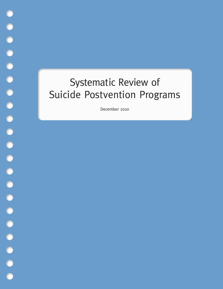# Systematic Review of Suicide Postvention Programs

December 2010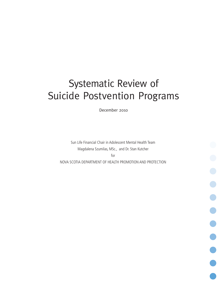# Systematic Review of Suicide Postvention Programs

December 2010

Sun Life Financial Chair in Adolescent Mental Health Team Magdalena Szumilas, MSc., and Dr. Stan Kutcher for NOVA SCOTIA DEPARTMENT OF HEALTH PROMOTION AND PROTECTION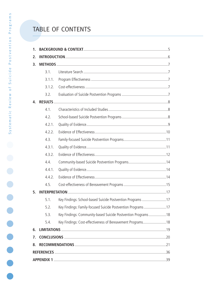# TABLE OF CONTENTS

| 1 <sub>1</sub> |          |                                                              |  |
|----------------|----------|--------------------------------------------------------------|--|
| 2.             |          |                                                              |  |
| 3.             |          |                                                              |  |
|                | 3.1.     |                                                              |  |
|                | 3.1.1.   |                                                              |  |
|                | 3.1.2.   |                                                              |  |
|                | 3.2.     |                                                              |  |
| 4.             |          |                                                              |  |
|                | 4.1.     |                                                              |  |
|                | 4.2.     |                                                              |  |
|                | 4.2.1.   |                                                              |  |
|                | 4.2.2.   |                                                              |  |
|                | 4.3.     |                                                              |  |
|                | 4.3.1.   |                                                              |  |
|                | 4.3.2.   |                                                              |  |
|                | 4.4.     |                                                              |  |
|                | 4, 4, 1, |                                                              |  |
|                | 4.4.2.   |                                                              |  |
|                | 4.5.     |                                                              |  |
| 5.             |          |                                                              |  |
|                | 5.1.     | Key Findings: School-based Suicide Postvention Programs 17   |  |
|                | 5.2.     | Key Findings: Family-focused Suicide Postvention Programs 17 |  |
|                | 5.3.     | Key Findings: Community-based Suicide Postvention Programs18 |  |
|                | 5.4.     | Key Findings: Cost-effectiveness of Bereavement Programs18   |  |
| 6.             |          |                                                              |  |
| 7.             |          |                                                              |  |
| 8.             |          |                                                              |  |
|                |          |                                                              |  |
|                |          |                                                              |  |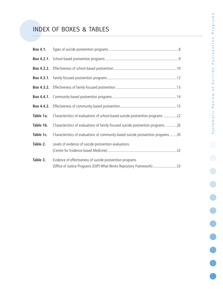# INDEX OF BOXES & TABLES

| Box 4.1.  |                                                                                                                                   |
|-----------|-----------------------------------------------------------------------------------------------------------------------------------|
|           |                                                                                                                                   |
|           |                                                                                                                                   |
|           |                                                                                                                                   |
|           |                                                                                                                                   |
|           |                                                                                                                                   |
|           |                                                                                                                                   |
| Table 1a. | Characteristics of evaluations of school-based suicide postvention programs 22                                                    |
| Table 1b. | Characteristics of evaluations of family-focused suicide postvention programs 26                                                  |
| Table 1c. | Characteristics of evaluations of community-based suicide postvention programs 30                                                 |
| Table 2.  | Levels of evidence of suicide postvention evaluations                                                                             |
| Table 3.  | Evidence of effectiveness of suicide postvention programs<br>(Office of Justice Programs [OJP] What Works Repository Framework)33 |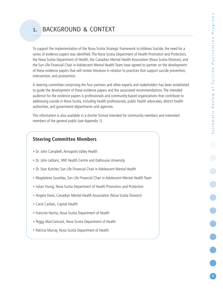To support the implementation of the Nova Scotia Strategic Framework to Address Suicide, the need for a series of evidence papers was identified. The Nova Scotia Department of Health Promotion and Protection, the Nova Scotia Department of Health, the Canadian Mental Health Association (Nova Scotia Division), and the Sun Life Financial Chair in Adolescent Mental Health Team have agreed to partner on the development of these evidence papers that will review literature in relation to practices that support suicide prevention, intervention, and postvention.

A steering committee comprising the four partners and other experts and stakeholders has been established to guide the development of these evidence papers and the associated recommendations. The intended audience for the evidence papers is professionals and community-based organizations that contribute to addressing suicide in Nova Scotia, including health professionals, public health advocates, district health authorities, and government departments and agencies.

This information is also available in a shorter format intended for community members and interested members of the general public (see Appendix 1).

# **Steering Committee Members**

- Dr. John Campbell, Annapolis Valley Health
- Dr. John Leblanc, IWK Health Centre and Dalhousie University
- Dr. Stan Kutcher, Sun Life Financial Chair in Adolescent Mental Health
- Magdalena Szumilas, Sun Life Financial Chair in Adolescent Mental Health Team
- Julian Young, Nova Scotia Department of Health Promotion and Protection
- Angela Davis, Canadian Mental Health Association (Nova Scotia Division)
- Carol Cashen, Capital Health
- Francine Vezina, Nova Scotia Department of Health
- Peggy MacCormack, Nova Scotia Department of Health
- Patricia Murray, Nova Scotia Department of Health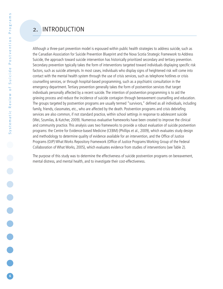# 2. INTRODUCTION

Although a three-part prevention model is espoused within public health strategies to address suicide, such as the Canadian Association for Suicide Prevention Blueprint and the Nova Scotia Strategic Framework to Address Suicide, the approach toward suicide intervention has historically prioritized secondary and tertiary prevention. Secondary prevention typically takes the form of interventions targeted toward individuals displaying specific risk factors, such as suicide attempts. In most cases, individuals who display signs of heightened risk will come into contact with the mental health system through the use of crisis services, such as telephone hotlines or crisis counselling services, or through hospital-based programming, such as a psychiatric consultation in the emergency department. Tertiary prevention generally takes the form of postvention services that target individuals personally affected by a recent suicide. The intention of postvention programming is to aid the grieving process and reduce the incidence of suicide contagion through bereavement counselling and education. The groups targeted by postvention programs are usually termed "survivors," defined as all individuals, including family, friends, classmates, etc., who are affected by the death. Postvention programs and crisis debriefing services are also common, if not standard practice, within school settings in response to adolescent suicide (Wei, Szumilas, & Kutcher, 2009). Numerous evaluative frameworks have been created to improve the clinical and community practice. This analysis uses two frameworks to provide a robust evaluation of suicide postvention programs: the Centre for Evidence-based Medicine (CEBM) (Phillips et al., 2009), which evaluates study design and methodology to determine quality of evidence available for an intervention, and the Office of Justice Programs (OJP) What Works Repository Framework (Office of Justice Programs Working Group of the Federal Collaboration of What Works, 2005), which evaluates evidence from studies of interventions (see Table 2).

The purpose of this study was to determine the effectiveness of suicide postvention programs on bereavement, mental distress, and mental health, and to investigate their cost-effectiveness.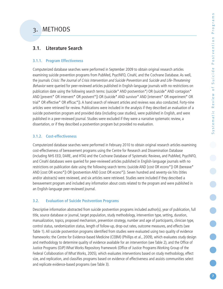# **3.1. Literature Search**

## **3.1.1. Program Effectiveness**

Computerized database searches were performed in September 2009 to obtain original research articles examining suicide prevention programs from PubMed, PsycINFO, Cinahl, and the Cochrane Database. As well, the journals Crisis: The Journal of Crisis Intervention and Suicide Prevention and Suicide and Life-Threatening Behavior were queried for peer-reviewed articles published in English-language journals with no restrictions on publication date using the following search terms: (suicide\* AND postvention\*) OR (suicide\* AND contagion\* AND [prevent\* OR intervent\* OR postvent\*]) OR (suicide\* AND survivor\* AND [intervent\* OR experiment\* OR trial\* OR effective\* OR efficac\*]). A hand search of relevant articles and reviews was also conducted. Forty-nine articles were retrieved for review. Publications were included in the analysis if they described an evaluation of a suicide postvention program and provided data (including case studies), were published in English, and were published in a peer-reviewed journal. Studies were excluded if they were a narrative systematic review, a dissertation, or if they described a postvention program but provided no evaluation.

# **3.1.2. Cost-effectiveness**

Computerized database searches were performed in February 2010 to obtain original research articles examining cost-effectiveness of bereavement programs using the Centre for Research and Dissemination Database (including NHS EED, DARE, and HTA) and the Cochrane Database of Systematic Reviews, and PubMed, PsycINFO, and Cinahl databases were queried for peer-reviewed articles published in English-language journals with no restrictions on publication date using the following search terms: (suicide AND [cost OR econo\*]) OR (bereave\* AND [cost OR econo\*]) OR (postvention AND [cost OR econo\*]). Seven hundred and seventy-six hits (titles and/or abstracts) were reviewed, and six articles were retrieved. Studies were included if they described a bereavement program and included any information about costs related to the program and were published in an English-language peer-reviewed journal.

# **3.2. Evaluation of Suicide Postvention Programs**

Descriptive information abstracted from suicide postvention programs included author(s), year of publication, full title, source database or journal, target population, study methodology, intervention type, setting, duration, manualization, topics, proposed mechanism, prevention strategy, number and age of participants, clinician type, control status, randomization status, length of follow-up, drop-out rates, outcome measures, and effects (see Table 1). All suicide postvention programs identified from studies were evaluated using two quality of evidence frameworks: the Centre for Evidence-based Medicine (CEBM) (Phillips et al., 2009), which evaluates study design and methodology to determine quality of evidence available for an intervention (see Table 2), and the Office of Justice Programs (OJP) What Works Repository Framework (Office of Justice Programs Working Group of the Federal Collaboration of What Works, 2005), which evaluates interventions based on study methodology, effect size, and replication, and classifies programs based on evidence of effectiveness and assists communities select and replicate evidence-based programs (see Table 3).

**7**

**....**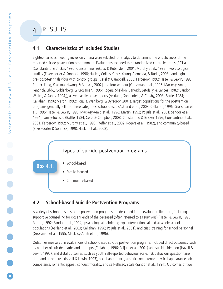# **4.1. Characteristics of Included Studies**

Eighteen articles meeting inclusion criteria were selected for analysis to determine the effectiveness of the reported suicide postvention programming. Evaluations included three randomized controlled trials (RCTs) (Constantino & Bricker, 1996; Constantino, Sekula, & Rubinstein, 2001; Murphy et al., 1998), two ecological studies (Etzersdorfer & Sonneck, 1998; Hacker, Collins, Gross-Young, Alemeida, & Burke, 2008), and eight pre-/post-test trials (four with control groups [Cerel & Campbell, 2008; Farberow, 1992; Hazell & Lewin, 1993; Pfeffer, Jiang, Kakuma, Hwang, & Metsch, 2002] and four without [Grossman et al., 1995; Mackesy-Amiti, Fendrich, Libby, Goldenberg, & Grossman, 1996; Rogers, Sheldon, Barwick, Letofsky, & Lancee, 1982; Sandor, Walker, & Sands, 1994]), as well as five case reports (Askland, Sonnenfeld, & Crosby, 2003; Battle, 1984; Callahan, 1996; Martin, 1992; Poijula,Wahlberg, & Dyregrov, 2001). Target populations for the postvention programs generally fell into three categories: school-based (Askland et al., 2003; Callahan, 1996; Grossman et al., 1995; Hazell & Lewin, 1993; Mackesy-Amiti et al., 1996; Martin, 1992; Poijula et al., 2001; Sandor et al., 1994), family-focused (Battle, 1984; Cerel & Campbell, 2008; Constantino & Bricker, 1996; Constantino et al., 2001; Farberow, 1992; Murphy et al., 1998; Pfeffer et al., 2002; Rogers et al., 1982), and community-based (Etzersdorfer & Sonneck, 1998; Hacker et al., 2008).

# Types of suicide postvention programs

• School-based

**Box 4.1.**

• Family-focused

• Community-based

# **4.2. School-based Suicide Postvention Programs**

A variety of school-based suicide postvention programs are described in the evaluation literature, including supportive counselling for close friends of the deceased (often referred to as survivors) (Hazell & Lewin, 1993; Martin, 1992; Sandor et al., 1994), psychological debriefing-type interventions aimed at whole school populations (Askland et al., 2003; Callahan, 1996; Poijula et al., 2001), and crisis training for school personnel (Grossman et al., 1995; Mackesy-Amiti et al., 1996).

Outcomes measured in evaluations of school-based suicide postvention programs included direct outcomes, such as number of suicide deaths and attempts (Callahan, 1996; Poijula et al., 2001) and suicidal ideation (Hazell & Lewin, 1993), and distal outcomes, such as youth self-reported behaviour scale, risk behaviour questionnaire, drug and alcohol use (Hazell & Lewin, 1993), social acceptance, athletic competence, physical appearance, job competence, romantic appeal, conduct/morality, and self-efficacy scale (Sandor et al., 1994). Outcomes of two

**8**

**....**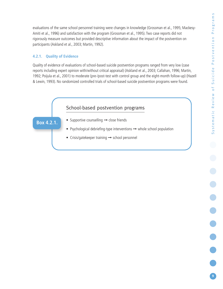evaluations of the same school personnel training were changes in knowledge (Grossman et al., 1995; Mackesy-Amiti et al., 1996) and satisfaction with the program (Grossman et al., 1995). Two case reports did not rigorously measure outcomes but provided descriptive information about the impact of the postvention on participants (Askland et al., 2003; Martin, 1992).

# **4.2.1. Quality of Evidence**

Quality of evidence of evaluations of school-based suicide postvention programs ranged from very low (case reports including expert opinion with/without critical appraisal) (Askland et al., 2003; Callahan, 1996; Martin, 1992; Poijula et al., 2001) to moderate (pre-/post-test with control group and the eight-month follow-up) (Hazell & Lewin, 1993). No randomized controlled trials of school-based suicide postvention programs were found.

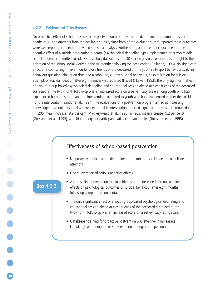### **4.2.2. Evidence of Effectiveness**

No protective effect of school-based suicide postvention programs can be determined for number of suicide deaths or suicide attempts from the available studies, since both of the evaluations that reported these outcomes were case reports, and neither provided statistical analysis. Furthermore, one case report documented the negative effect of a suicide postvention program (psychological debriefing type) implemented after two middle school students committed suicide, with six hospitalizations and 30 suicide gestures or attempts brought to the attention of the school social worker in the six months following the postvention (Callahan, 1996). No significant effect of a counselling intervention for close friends of the deceased on the youth self-report behaviour scale, risk behaviour questionnaire, or on drug and alcohol use, current suicidal behaviour, hospitalization for suicide attempt, or suicidal ideation after eight months was reported (Hazell & Lewin, 1993). The only significant effect of a youth group-based psychological debriefing and educational session aimed at close friends of the deceased sustained at the two-month follow-up was an increased score on a self-efficacy scale among youth who had experienced both the suicide and the intervention compared to youth who had experienced neither the suicide nor the intervention (Sandor et al., 1994). The evaluations of a postvention program aimed at increasing knowledge of school personnel with respect to crisis intervention reported significant increases in knowledge (n=205, mean increase=8.9 per cent [Mackesy-Amiti et al., 1996]; n=263, mean increase=9.2 per cent) (Grossman et al., 1995], with high ratings for participant satisfaction and utility (Grossman et al., 1995).

# Effectiveness of school-based postvention

- No protective effect can be determined for number of suicide deaths or suicide attempts.
- One study reported serious negative effects.

## **Box 4.2.2.**

- A counselling intervention for close friends of the deceased had no sustained effects on psychological outcomes or suicidal behaviour after eight months' follow-up compared to no contact.
- The only significant effect of a youth group-based psychological debriefing and educational session aimed at close friends of the deceased sustained at the two-month follow-up was an increased score on a self-efficacy rating scale.
- Gatekeeper training for proactive postvention was effective in increasing knowledge pertaining to crisis intervention among school personnel.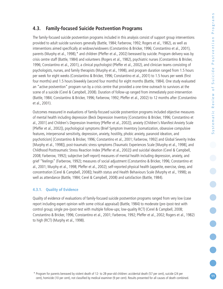# **4.3. Family-focused Suicide Postvention Programs**

The family-focused suicide postvention programs included in this analysis consist of support group interventions provided to adult suicide survivors generally (Battle, 1984; Farberow, 1992; Rogers et al., 1982), as well as interventions aimed specifically at widows/widowers (Constantino & Bricker, 1996; Constantino et al., 2001), parents (Murphy et al., 1998),\* and children (Pfeffer et al., 2002) bereaved by suicide. Program delivery was by crisis centre staff (Battle, 1984) and volunteers (Rogers et al., 1982), psychiatric nurses (Constantino & Bricker, 1996; Constantino et al., 2001), a clinical psychologist (Pfeffer et al., 2002), and clinician teams consisting of psychologists, nurses, and family therapists (Murphy et al., 1998), and program duration ranged from 1.5 hours per week for eight weeks (Constantino & Bricker, 1996; Constantino et al., 2001) to 1.5 hours per week (first four months) and 1.5 hours biweekly (second four months) for eight months (Battle, 1984). One study evaluated an "active postvention" program run by a crisis centre that provided a one-time outreach to survivors at the scene of a suicide (Cerel & Campbell, 2008). Duration of follow-up ranged from immediately post-intervention (Battle, 1984; Constantino & Bricker, 1996; Farberow, 1992; Pfeffer et al., 2002) to 12 months after (Constantino et al., 2001).

Outcomes measured in evaluations of family-focused suicide postvention programs included objective measures of mental health including depression (Beck Depression Inventory [Constantino & Bricker, 1996; Constantino et al., 2001] and Children's Depression Inventory [Pfeffer et al., 2002]), anxiety (Children's Manifest Anxiety Scale [Pfeffer et al., 2002]), psychological symptoms (Brief Symptom Inventory [somatization, obsessive compulsive features, interpersonal sensitivity, depression, anxiety, hostility, phobic anxiety, paranoid ideation, and psychoticism] [Constantino & Bricker, 1996; Constantino et al., 2001; Farberow, 1992] and Global Severity Index [Murphy et al., 1998]), post-traumatic stress symptoms (Traumatic Experiences Scale [Murphy et al., 1998], and Childhood Posttraumatic Stress Reaction Index [Pfeffer et al., 2002]) and suicidal ideation (Cerel & Campbell, 2008; Farberow, 1992); subjective (self-report) measures of mental health including depression, anxiety, and grief "feelings" (Farberow, 1992); measures of social adjustment (Constantino & Bricker, 1996; Constantino et al., 2001; Murphy et al., 1998; Pfeffer et al., 2002); self-reported physical health (appetite, exercise, sleep, and concentration [Cerel & Campbell, 2008]); health status and Health Behaviours Scale (Murphy et al., 1998); as well as attendance (Battle, 1984; Cerel & Campbell, 2008) and satisfaction (Battle, 1984).

# **4.3.1. Quality of Evidence**

Quality of evidence of evaluations of family-focused suicide postvention programs ranged from very low (case report including expert opinion with some critical appraisal) (Battle, 1984) to moderate (pre-/post-test with control group; single pre-/post-test with multiple follow-ups; low-quality RCT) (Cerel & Campbell, 2008; Constantino & Bricker, 1996; Constantino et al., 2001; Farberow, 1992; Pfeffer et al., 2002; Rogers et al., 1982) to high (RCT) (Murphy et al., 1998).

**....**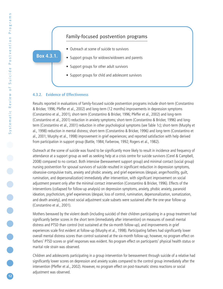

### **4.3.2. Evidence of Effectiveness**

Results reported in evaluations of family-focused suicide postvention programs include short-term (Constantino & Bricker, 1996; Pfeffer et al., 2002) and long-term (12 months) improvements in depression symptoms (Constantino et al., 2001), short-term (Constantino & Bricker, 1996; Pfeffer et al., 2002) and long-term (Constantino et al., 2001) reduction in anxiety symptoms; short-term (Constantino & Bricker, 1996) and longterm (Constantino et al., 2001) reduction in other psychological symptoms (see Table 1c); short-term (Murphy et al., 1998) reduction in mental distress; short-term (Constantino & Bricker, 1996) and long-term (Constantino et al., 2001; Murphy et al., 1998) improvement in grief experiences; and reported satisfaction with help derived from participation in support group (Battle, 1984; Farberow, 1992; Rogers et al., 1982).

Outreach at the scene of suicide was found to be significantly more likely to result in incidence and frequency of attendance at a support group as well as seeking help at a crisis centre for suicide survivors (Cerel & Campbell, 2008) compared to no contact. Both intensive (bereavement support group) and minimal contact (social group) nursing postvention for spousal survivors of suicide resulted in significant reduction in depression symptoms, obsessive-compulsive traits, anxiety and phobic anxiety, and grief experiences (despair, anger/hostility, guilt, rumination, and depersonalization) immediately after intervention, with significant improvement on social adjustment present only after the minimal contact intervention (Constantino & Bricker, 1996). Effects of the interventions (collapsed for follow-up analysis) on depression symptoms, anxiety, phobic anxiety, paranoid ideation, psychoticism, grief experiences (despair, loss of control, rumination, depersonalization, somatization, and death anxiety), and most social adjustment scale subsets were sustained after the one-year follow-up (Constantino et al., 2001).

Mothers bereaved by the violent death (including suicide) of their children participating in a group treatment had significantly better scores in the short term (immediately after intervention) on measures of overall mental distress and PTSD than control (not sustained at the six-month follow-up), and improvements in grief experiences scale first evident at follow-up (Murphy et al., 1998). Participating fathers had significantly lower overall mental distress scores than control sustained at the six-month follow-up; however, no program effect on fathers' PTSD scores or grief responses was evident. No program effect on participants' physical health status or marital role strain was observed.

Children and adolescents participating in a group intervention for bereavement through suicide of a relative had significantly lower scores on depression and anxiety scales compared to the control group immediately after the intervention (Pfeffer et al., 2002). However, no program effect on post-traumatic stress reactions or social adjustment was observed.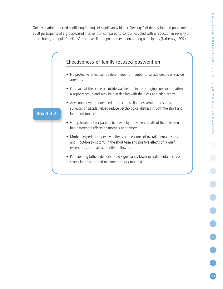One evaluation reported conflicting findings of significantly higher "feelings" of depression and puzzlement in adult participants of a group-based intervention compared to control, coupled with a reduction in severity of grief, shame, and guilt "feelings" from baseline to post-intervention among participants (Farberow, 1992).

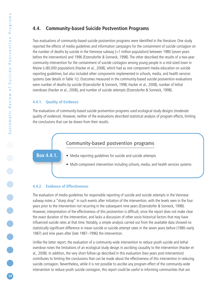# **4.4. Community-based Suicide Postvention Programs**

Two evaluations of community-based suicide postvention programs were identified in the literature. One study reported the effects of media guidelines and information campaigns for the containment of suicide contagion on the number of deaths by suicide in the Viennese subway (>1 million population) between 1980 (seven years before the intervention) and 1996 (Etzersdorfer & Sonneck, 1998). The other described the results of a two-year community intervention for the containment of suicide contagion among young people in a mid-sized town in Maine (<80,000 population) (Hacker et al., 2008), which had as one component media education on suicide reporting guidelines, but also included other components implemented in schools, media, and health services systems (see details in Table 1c). Outcomes measured in the community-based suicide postvention evaluations were number of deaths by suicide (Etzersdorfer & Sonneck, 1998; Hacker et al., 2008), number of lethal overdoses (Hacker et al., 2008), and number of suicide attempts (Etzersdorfer & Sonneck, 1998).

### **4.4.1. Quality of Evidence**

The evaluations of community-based suicide postvention programs used ecological study designs (moderate quality of evidence). However, neither of the evaluations described statistical analysis of program effects, limiting the conclusions that can be drawn from their results.

# Community-based postvention programs

- Media reporting guidelines for suicide and suicide attempts **Box 4.4.1.**
	- Multi-component intervention including schools, media, and health services systems

### **4.4.2. Evidence of Effectiveness**

The evaluation of media guidelines for responsible reporting of suicide and suicide attempts in the Viennese subway notes a "sharp drop" in such events after initiation of the intervention, with the levels seen in the four years prior to the intervention not recurring in the subsequent nine years (Etzersdorfer & Sonneck, 1998). However, interpretation of the effectiveness of this postvention is difficult, since the report does not make clear the exact duration of the intervention, and lacks a discussion of other socio-historical factors that may have influenced suicide rates at that time. Notably, a simple analysis carried out from the available data showed no statistically significant difference in mean suicide or suicide attempt rates in the seven years before (1980–early 1987) and nine years after (late 1987–1996) the intervention.

Unlike the latter report, the evaluation of a community-wide intervention to reduce youth suicide and lethal overdose notes the limitations of an ecological study design in ascribing causality to the intervention (Hacker et al., 2008). In addition, the very short follow-up described in this evaluation (two years post-intervention) contributes to limiting the conclusions that can be made about the effectiveness of this intervention in reducing suicide contagion. Nevertheless, while it is not possible to ascribe any program effect of the community-wide intervention to reduce youth suicide contagion, this report could be useful in informing communities that are

**14**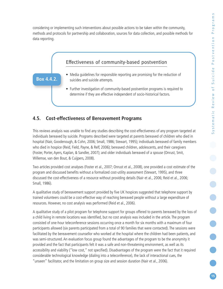considering or implementing such interventions about possible actions to be taken within the community, methods and protocols for partnership and collaboration, sources for data collection, and possible methods for data reporting.



# **4.5. Cost-effectiveness of Bereavement Programs**

This reviews analysis was unable to find any studies describing the cost-effectiveness of any program targeted at individuals bereaved by suicide. Programs described were targeted at parents bereaved of children who died in hospital (Nair, Goodenough, & Cohn, 2006; Small, 1986; Stewart, 1995); individuals bereaved of family members who died in hospice (Reid, Field, Payne, & Relf, 2006); bereaved children, adolescents, and their caregivers (Foster, Porter, Ayers, Kaplan, & Sandler, 2007); and older individuals bereaved of a spouse (Onrust, Smit, Willemse, van den Bout, & Cuijpers, 2008).

Two articles provided cost analyses (Foster et al., 2007; Onrust et al., 2008), one provided a cost estimate of the program and discussed benefits without a formalized cost-utility assessment (Stewart, 1995), and three discussed the cost-effectiveness of a resource without providing details (Nair et al., 2006; Reid et al., 2006; Small, 1986).

A qualitative study of bereavement support provided by five UK hospices suggested that telephone support by trained volunteers could be a cost-effective way of reaching bereaved people without a large expenditure of resources. However, no cost analysis was performed (Reid et al., 2006).

A qualitative study of a pilot program for telephone support for groups offered to parents bereaved by the loss of a child living in remote locations was identified, but no cost analysis was included in the article. The program consisted of one-hour teleconference sessions occurring once a month for six months with a maximum of four participants allowed (six parents participated from a total of 90 families that were contacted). The sessions were facilitated by the bereavement counsellor who worked at the hospital where the children had been patients, and was semi-structured. An evaluation focus group found the advantages of the program to be the anonymity it provided and the fact that participants felt it was a safe and non-threatening environment, as well as its accessibility and viability ("low cost," not specified). Disadvantages of the program were the fact that it required considerable technological knowledge (dialing into a teleconference), the lack of interactional cues, the "unseen" facilitator, and the limitation on group size and session duration (Nair et al., 2006).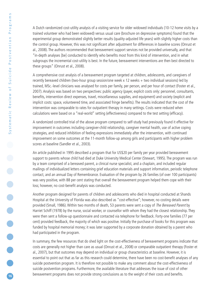A Dutch randomized cost-utility analysis of a visiting service for older widowed individuals (10-12 home visits by a trained volunteer who had been widowed) versus usual care (brochure on depressive symptoms) found that the experimental group demonstrated slightly better results (quality-adjusted life years) with slightly higher costs than the control group. However, this was not significant after adjustment for differences in baseline scores (Onrust et al., 2008). The authors recommended that bereavement support services not be provided universally, and that "in-depth analyses [be] conducted to identify who benefits most from this kind of intervention, and in what subgroups the incremental cost-utility is best. In the future, bereavement interventions are then best directed to these groups" (Onrust et al., 2008).

A comprehensive cost analysis of a bereavement program targeted at children, adolescents, and caregivers of recently bereaved children (two-hour group session/one week x 12 weeks + two individual sessions) led by trained, MSc.-level clinicians was analysed for costs per family, per person, and per hour of contact (Foster et al., 2007). Analysis was based on two perspectives: public agency (payer, explicit costs only: personnel, consultants, benefits, intervention direct expenses, travel, miscellaneous supplies, and equipment) and society (explicit and implicit costs: space, volunteered time, and associated fringe benefits). The results indicated that the cost of the intervention was comparable to rates for outpatient therapy in many settings. Costs were reduced when calculations were based on a "real-world" setting (effectiveness) compared to the test setting (efficacy).

A randomized controlled trial of the above program compared to self-study had previously found it effective for improvement in outcomes including caregiver-child relationship, caregiver mental health, use of active coping strategies, and reduced inhibition of feeling expressions immediately after the intervention, with continued improvement on some outcomes at the 11-month follow-up among girls and participants with higher problem scores at baseline (Sandler et al., 2003).

An article published in 1995 described a program that for US\$20 per family per year provided bereavement support to parents whose child had died at Duke University Medical Center (Stewart, 1995). The program was run by a team comprised of a bereaved parent, a clinical nurse specialist, and a chaplain, and included regular mailings of individualized letters containing grief education materials and support information, periodic telephone contact, and an annual Day of Remembrance. Evaluation of the program by 26 families (of over 100 participants) was very positive, with 88 per cent stating that overall the bereavement program helped them cope with their loss; however, no cost-benefit analysis was conducted.

Another program designed for parents of children and adolescents who died in hospital conducted at Shands Hospital at the University of Florida was also described as "cost-effective"; however, no costing details were provided (Small, 1986). Within two months of death, 53 parents were sent a copy of The Bereaved Parent by Harriet Schiff (1978) by the nurse, social worker, or counsellor with whom they had the closest relationship. They were then sent a follow-up questionnaire and contacted via telephone for feedback. Forty-one families (77 per cent) provided feedback, the majority of which was positive. Initially the purchase of books for this program was funded by hospital memorial money; it was later supported by a corporate donation obtained by a parent who had participated in the program.

In summary, the few resources that do shed light on the cost-effectiveness of bereavement programs indicate that costs are generally not higher than care as usual (Onrust et al., 2008) or comparable outpatient therapy (Foster et al., 2007), but that outcomes may depend on individual or group characteristics at baseline. However, it is essential to point out that as far as this research could determine, there have been no cost-benefit analyses of any suicide postvention program. It is therefore not possible to make any comment about the cost-effectiveness of suicide postvention programs. Furthermore, the available literature that addresses the issue of cost of other bereavement programs does not provide strong conclusions as to the weight of their costs and benefits.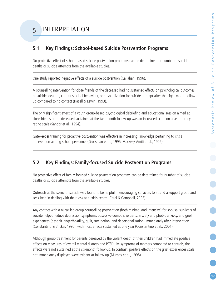# **5.1. Key Findings: School-based Suicide Postvention Programs**

No protective effect of school-based suicide postvention programs can be determined for number of suicide deaths or suicide attempts from the available studies.

One study reported negative effects of a suicide postvention (Callahan, 1996).

A counselling intervention for close friends of the deceased had no sustained effects on psychological outcomes or suicide ideation, current suicidal behaviour, or hospitalization for suicide attempt after the eight-month followup compared to no contact (Hazell & Lewin, 1993).

The only significant effect of a youth group-based psychological debriefing and educational session aimed at close friends of the deceased sustained at the two-month follow-up was an increased score on a self-efficacy rating scale (Sandor et al., 1994).

Gatekeeper training for proactive postvention was effective in increasing knowledge pertaining to crisis intervention among school personnel (Grossman et al., 1995; Mackesy-Amiti et al., 1996).

# **5.2. Key Findings: Family-focused Suicide Postvention Programs**

No protective effect of family-focused suicide postvention programs can be determined for number of suicide deaths or suicide attempts from the available studies.

Outreach at the scene of suicide was found to be helpful in encouraging survivors to attend a support group and seek help in dealing with their loss at a crisis centre (Cerel & Campbell, 2008).

Any contact with a nurse-led group counselling postvention (both minimal and intensive) for spousal survivors of suicide helped reduce depression symptoms, obsessive-compulsive traits, anxiety and phobic anxiety, and grief experiences (despair, anger/hostility, guilt, rumination, and depersonalization) immediately after intervention (Constantino & Bricker, 1996), with most effects sustained at one year (Constantino et al., 2001).

Although group treatment for parents bereaved by the violent death of their children had immediate positive effects on measures of overall mental distress and PTSD-like symptoms of mothers compared to controls, the effects were not sustained at the six-month follow-up. In contrast, positive effects on the grief experiences scale not immediately displayed were evident at follow-up (Murphy et al., 1998).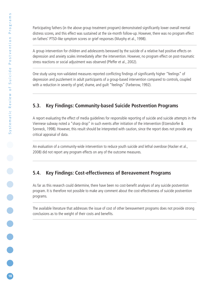Participating fathers (in the above group treatment program) demonstrated significantly lower overall mental distress scores, and this effect was sustained at the six-month follow-up. However, there was no program effect on fathers' PTSD-like symptom scores or grief responses (Murphy et al., 1998).

A group intervention for children and adolescents bereaved by the suicide of a relative had positive effects on depression and anxiety scales immediately after the intervention. However, no program effect on post-traumatic stress reactions or social adjustment was observed (Pfeffer et al., 2002).

One study using non-validated measures reported conflicting findings of significantly higher "feelings" of depression and puzzlement in adult participants of a group-based intervention compared to controls, coupled with a reduction in severity of grief, shame, and guilt "feelings" (Farberow, 1992).

# **5.3. Key Findings: Community-based Suicide Postvention Programs**

A report evaluating the effect of media guidelines for responsible reporting of suicide and suicide attempts in the Viennese subway noted a "sharp drop" in such events after initiation of the intervention (Etzersdorfer & Sonneck, 1998). However, this result should be interpreted with caution, since the report does not provide any critical appraisal of data.

An evaluation of a community-wide intervention to reduce youth suicide and lethal overdose (Hacker et al., 2008) did not report any program effects on any of the outcome measures.

# **5.4. Key Findings: Cost-effectiveness of Bereavement Programs**

As far as this research could determine, there have been no cost-benefit analyses of any suicide postvention program. It is therefore not possible to make any comment about the cost-effectiveness of suicide postvention programs.

The available literature that addresses the issue of cost of other bereavement programs does not provide strong conclusions as to the weight of their costs and benefits.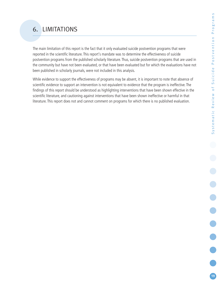# 6. LIMITATIONS

The main limitation of this report is the fact that it only evaluated suicide postvention programs that were reported in the scientific literature. This report's mandate was to determine the effectiveness of suicide postvention programs from the published scholarly literature. Thus, suicide postvention programs that are used in the community but have not been evaluated, or that have been evaluated but for which the evaluations have not been published in scholarly journals, were not included in this analysis.

While evidence to support the effectiveness of programs may be absent, it is important to note that absence of scientific evidence to support an intervention is not equivalent to evidence that the program is ineffective. The findings of this report should be understood as highlighting interventions that have been shown effective in the scientific literature, and cautioning against interventions that have been shown ineffective or harmful in that literature. This report does not and cannot comment on programs for which there is no published evaluation.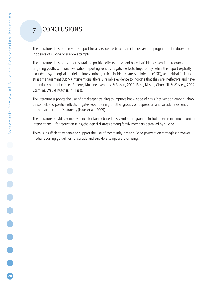# 7. CONCLUSIONS

The literature does not provide support for any evidence-based suicide postvention program that reduces the incidence of suicide or suicide attempts.

The literature does not support sustained positive effects for school-based suicide postvention programs targeting youth, with one evaluation reporting serious negative effects. Importantly, while this report explicitly excluded psychological debriefing interventions, critical incidence stress debriefing (CISD), and critical incidence stress management (CISM) interventions, there is reliable evidence to indicate that they are ineffective and have potentially harmful effects (Roberts, Kitchiner, Kenardy, & Bisson, 2009; Rose, Bisson, Churchill, & Wessely, 2002; Szumilas, Wei, & Kutcher, In Press).

The literature supports the use of gatekeeper training to improve knowledge of crisis intervention among school personnel, and positive effects of gatekeeper training of other groups on depression and suicide rates lends further support to this strategy (Isaac et al., 2009).

The literature provides some evidence for family-based postvention programs—including even minimum contact interventions—for reduction in psychological distress among family members bereaved by suicide.

There is insufficient evidence to support the use of community-based suicide postvention strategies; however, media reporting guidelines for suicide and suicide attempt are promising.

**20**

**.....**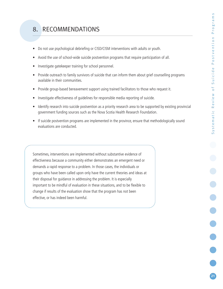# 8. RECOMMENDATIONS

- Do not use psychological debriefing or CISD/CISM interventions with adults or youth.
- Avoid the use of school-wide suicide postvention programs that require participation of all.
- Investigate gatekeeper training for school personnel.
- Provide outreach to family survivors of suicide that can inform them about grief counselling programs available in their communities.
- Provide group-based bereavement support using trained facilitators to those who request it.
- Investigate effectiveness of guidelines for responsible media reporting of suicide.
- Identify research into suicide postvention as a priority research area to be supported by existing provincial government funding sources such as the Nova Scotia Health Research Foundation.
- If suicide postvention programs are implemented in the province, ensure that methodologically sound evaluations are conducted.

Sometimes, interventions are implemented without substantive evidence of effectiveness because a community either demonstrates an emergent need or demands a rapid response to a problem. In those cases, the individuals or groups who have been called upon only have the current theories and ideas at their disposal for guidance in addressing the problem. It is especially important to be mindful of evaluation in these situations, and to be flexible to change if results of the evaluation show that the program has not been effective, or has indeed been harmful.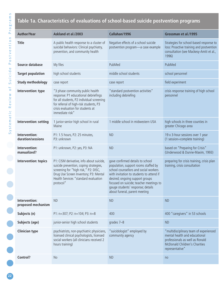# **Table 1a. Characteristics of evaluations of school-based suicide postvention programs**

| <b>Author/Year</b>                  | Askland et al./2003                                                                                                                                                                                                      | Callahan/1996                                                                                                                                                                                                                                                                                                     | Grossman et al./1995                                                                                                                                           |
|-------------------------------------|--------------------------------------------------------------------------------------------------------------------------------------------------------------------------------------------------------------------------|-------------------------------------------------------------------------------------------------------------------------------------------------------------------------------------------------------------------------------------------------------------------------------------------------------------------|----------------------------------------------------------------------------------------------------------------------------------------------------------------|
| <b>Title</b>                        | A public health response to a cluster of<br>suicidal behaviors: Clinical psychiatry,<br>prevention, and community health                                                                                                 | Negative effects of a school suicide<br>postvention program-a case example                                                                                                                                                                                                                                        | Strategies for school-based response to<br>loss: Proactive training and postvention<br>consultation (see Mackesy-Amiti et al.,<br>1996)                        |
| Source database                     | My files                                                                                                                                                                                                                 | PubMed                                                                                                                                                                                                                                                                                                            | PubMed                                                                                                                                                         |
| <b>Target population</b>            | high school students                                                                                                                                                                                                     | middle school students                                                                                                                                                                                                                                                                                            | school personnel                                                                                                                                               |
| <b>Study methodology</b>            | case report                                                                                                                                                                                                              | case report                                                                                                                                                                                                                                                                                                       | field experiment                                                                                                                                               |
| Intervention: type                  | "3 phase community public health<br>response: P1 educational debriefings<br>for all students, P2 individual screening<br>for referral of high-risk students, P3<br>crisis evaluation for students at<br>immediate risk"  | "standard postvention activities"<br>including debriefing                                                                                                                                                                                                                                                         | crisis response training of high school<br>personnel                                                                                                           |
| Intervention: setting               | 1 junior-senior high school in rural<br>Maine                                                                                                                                                                            | 1 middle school in midwestern USA                                                                                                                                                                                                                                                                                 | high schools in three counties in<br>greater Chicago area                                                                                                      |
| Intervention:<br>duration/sessions  | P1: 1.5 hours, P2: 25 minutes,<br>P3: unknown                                                                                                                                                                            | <b>ND</b>                                                                                                                                                                                                                                                                                                         | 19 x 3-hour sessions over 1 year<br>(1 session=complete training)                                                                                              |
| Intervention:<br>manualized?        | P1: unknown, P2: yes, P3: NA                                                                                                                                                                                             | <b>ND</b>                                                                                                                                                                                                                                                                                                         | based on "Preparing for Crisis"<br>(Underwood & Dunne-Maxim, 1993)                                                                                             |
| Intervention: topics                | P1: CISM derivative, info about suicide,<br>suicide prevention, coping strategies,<br>screening for "high risk," P2: DISC,<br>Drug Use Screen Inventory; P3: Mental<br>Health Services "standard evaluation<br>protocol" | gave confirmed details to school<br>population, support rooms staffed by<br>school counsellors and social workers<br>with invitation to students to attend if<br>desired; ongoing support groups<br>focused on suicide; teacher meetings to<br>gauge students' response; details<br>about funeral, parent meeting | preparing for crisis training, crisis plan<br>training, crisis consultation                                                                                    |
| Intervention:<br>proposed mechanism | <b>ND</b>                                                                                                                                                                                                                | <b>ND</b>                                                                                                                                                                                                                                                                                                         | <b>ND</b>                                                                                                                                                      |
| Subjects (n)                        | P1: n=307; P2: n=104; P3: n=8                                                                                                                                                                                            | 400                                                                                                                                                                                                                                                                                                               | 400 "caregivers" in 53 schools                                                                                                                                 |
| Subjects (age)                      | junior-senior high school students                                                                                                                                                                                       | grades 7-8                                                                                                                                                                                                                                                                                                        | <b>ND</b>                                                                                                                                                      |
| <b>Clinician type</b>               | psychiatrists, non-psychiatric physicians,<br>licensed clinical psychologists, licensed<br>social workers (all clinicians received 2<br>hours training)                                                                  | "suicidologist" employed by<br>community agency                                                                                                                                                                                                                                                                   | "multidisciplinary team of experienced<br>mental health and educational<br>professionals as well as Ronald<br>McDonald Children's Charities<br>representative" |
| Control?                            | <b>No</b>                                                                                                                                                                                                                | <b>ND</b>                                                                                                                                                                                                                                                                                                         | no                                                                                                                                                             |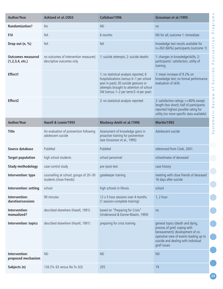| <b>Author/Year</b>                             | Askland et al./2003                                                | Callahan/1996                                                                                                                                                                                                  | Grossman et al./1995                                                                                                                                                                                   |
|------------------------------------------------|--------------------------------------------------------------------|----------------------------------------------------------------------------------------------------------------------------------------------------------------------------------------------------------------|--------------------------------------------------------------------------------------------------------------------------------------------------------------------------------------------------------|
| <b>Randomization?</b>                          | <b>No</b>                                                          | <b>ND</b>                                                                                                                                                                                                      | no                                                                                                                                                                                                     |
| F/U                                            | <b>NA</b>                                                          | 6 months                                                                                                                                                                                                       | ND for all; outcome 1: immediate                                                                                                                                                                       |
| Drop out (n, %)                                | <b>NA</b>                                                          | <b>NA</b>                                                                                                                                                                                                      | knowledge test results available for<br>n=263 (66%) participants (outcome 1)                                                                                                                           |
| <b>Outcomes measured</b><br>(1, 2, 3, 4, etc.) | no outcomes of intervention measured;<br>descriptive outcomes only | 1: suicide attempts; 2: suicide deaths                                                                                                                                                                         | 1: changes in knowledge/skills; 2:<br>participants' satisfaction, utility of<br>training                                                                                                               |
| Effect1                                        |                                                                    | 1: no statistical analysis reported, 6<br>hospitalizations (versus 0-1 per school<br>year in past); 30 suicide gestures or<br>attempts brought to attention of school<br>SW (versus 1-2 per term/2-4 per year) | 1: mean increase of 9.2% on<br>knowledge test; no formal performance<br>evaluation of skills                                                                                                           |
| Effect2                                        |                                                                    | 2: no statistical analysis reported                                                                                                                                                                            | 2: satisfaction ratings >=80% except<br>length (too short); half of participants<br>reported highest possible rating for<br>utility (no more specific data available)                                  |
| <b>Author/Year</b>                             | Hazell & Lewin/1993                                                | Mackesy-Amiti et al./1996                                                                                                                                                                                      | Martin/1992                                                                                                                                                                                            |
| <b>Title</b>                                   | An evaluation of postvention following<br>adolescent suicide       | Assessment of knowledge gains in<br>proactive training for postvention<br>(see Grossman et al., 1995)                                                                                                          | Adolescent suicide                                                                                                                                                                                     |
| Source database                                | PubMed                                                             | PubMed                                                                                                                                                                                                         | referenced from Clark, 2001                                                                                                                                                                            |
| <b>Target population</b>                       | high school students                                               | school personnel                                                                                                                                                                                               | schoolmates of deceased                                                                                                                                                                                |
| <b>Study methodology</b>                       | case-control study                                                 | pre-/post-test                                                                                                                                                                                                 | case history                                                                                                                                                                                           |
| Intervention: type                             | counselling at school, groups of 20-30<br>students (close friends) | gatekeeper training                                                                                                                                                                                            | meeting with close friends of deceased<br>16 days after suicide                                                                                                                                        |
| Intervention: setting                          | school                                                             | high schools in Illinois                                                                                                                                                                                       | school                                                                                                                                                                                                 |
| Intervention:<br>duration/sessions             | 90 minutes                                                         | 12 x 3 hour sessions over 4 months<br>(1 session=complete training)                                                                                                                                            | 1, 2 hour                                                                                                                                                                                              |
| Intervention:<br>manualized?                   | described elsewhere (Hazell, 1991)                                 | based on "Preparing for Crisis"<br>(Underwood & Dunne-Maxim, 1993)                                                                                                                                             | no                                                                                                                                                                                                     |
| Intervention: topics                           | described elsewhere (Hazell, 1991)                                 | preparing for crisis training                                                                                                                                                                                  | general topics (death and dying,<br>process of grief, coping with<br>bereavement); development of co-<br>operative view of events leading up to<br>suicide and dealing with individual<br>grief issues |
| Intervention:<br>proposed mechanism            | <b>ND</b>                                                          | <b>ND</b>                                                                                                                                                                                                      | <b>ND</b>                                                                                                                                                                                              |
| Subjects (n)                                   | 126 (Tx: 63 versus No Tx: 63)                                      | 205                                                                                                                                                                                                            | 19                                                                                                                                                                                                     |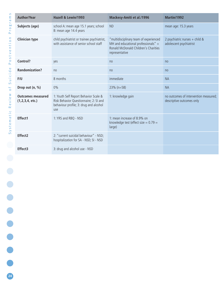| <b>Author/Year</b>                         | Hazell & Lewin/1993                                                                                                              | Mackesy-Amiti et al./1996                                                                                                                 | Martin/1992                                                        |
|--------------------------------------------|----------------------------------------------------------------------------------------------------------------------------------|-------------------------------------------------------------------------------------------------------------------------------------------|--------------------------------------------------------------------|
| Subjects (age)                             | school A: mean age 15.1 years; school<br>B: mean age 14.4 years                                                                  | <b>ND</b>                                                                                                                                 | mean age: 15.3 years                                               |
| <b>Clinician type</b>                      | child psychiatrist or trainee psychiatrist,<br>with assistance of senior school staff                                            | "multidisciplinary team of experienced<br>MH and educational professionals" $+$<br>Ronald McDonald Children's Charities<br>representative | 2 psychiatric nurses + child &<br>adolescent psychiatrist          |
| Control?                                   | yes                                                                                                                              | no                                                                                                                                        | no                                                                 |
| <b>Randomization?</b>                      | no                                                                                                                               | no                                                                                                                                        | no                                                                 |
| F/U                                        | 8 months                                                                                                                         | immediate                                                                                                                                 | <b>NA</b>                                                          |
| Drop out (n, %)                            | 0%                                                                                                                               | 23% (n=58)                                                                                                                                | <b>NA</b>                                                          |
| <b>Outcomes measured</b><br>(1,2,3,4,etc.) | 1: Youth Self Report Behavior Scale &<br>Risk Behavior Questionnaire; 2: SI and<br>behaviour profile; 3: drug and alcohol<br>use | 1: knowledge gain                                                                                                                         | no outcomes of intervention measured;<br>descriptive outcomes only |
| Effect1                                    | 1: YRS and RBQ - NSD                                                                                                             | 1: mean increase of 8.9% on<br>knowledge test (effect size $= 0.79$ =<br>large)                                                           |                                                                    |
| Effect2                                    | 2: "current suicidal behaviour" - NSD;<br>hospitalization for SA - NSD; SI - NSD                                                 |                                                                                                                                           |                                                                    |
| Effect3                                    | 3: drug and alcohol use - NSD                                                                                                    |                                                                                                                                           |                                                                    |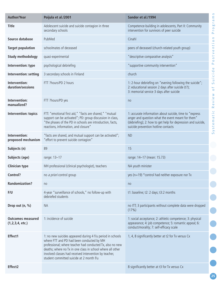| <b>Author/Year</b>                         | Poijula et al./2001                                                                                                                                                                                                                                                                                                                      | Sandor et al./1994                                                                                                                                                                                                  | S<br>Ε<br>$\overline{\sigma}$                                           |
|--------------------------------------------|------------------------------------------------------------------------------------------------------------------------------------------------------------------------------------------------------------------------------------------------------------------------------------------------------------------------------------------|---------------------------------------------------------------------------------------------------------------------------------------------------------------------------------------------------------------------|-------------------------------------------------------------------------|
| <b>Title</b>                               | Adolescent suicide and suicide contagion in three<br>secondary schools                                                                                                                                                                                                                                                                   | Competence-building in adolescents, Part II: Community<br>intervention for survivors of peer suicide                                                                                                                | $\mathbf{r}$<br><b>bo</b><br>$\circ$<br>$\bar{\mathbf{r}}$<br><u>Δ.</u> |
| Source database                            | PubMed                                                                                                                                                                                                                                                                                                                                   | Cinahl                                                                                                                                                                                                              | $\mathbf{r}$<br>$\circ$                                                 |
| <b>Target population</b>                   | schoolmates of deceased                                                                                                                                                                                                                                                                                                                  | peers of deceased (church-related youth group)                                                                                                                                                                      | ب<br>$\simeq$<br>$\bullet$                                              |
| <b>Study methodology</b>                   | quasi-experimental                                                                                                                                                                                                                                                                                                                       | "descriptive comparative analysis"                                                                                                                                                                                  | $\,>$<br>پ<br>$\mathsf{C}\mathsf{D}$<br>$\circ$                         |
| Intervention: type                         | psychological debriefing                                                                                                                                                                                                                                                                                                                 | "supportive community intervention"                                                                                                                                                                                 | ௨<br>$\mathbf \omega$                                                   |
| Intervention: setting                      | 3 secondary schools in Finland                                                                                                                                                                                                                                                                                                           | church                                                                                                                                                                                                              | d<br>$\overline{G}$<br>$\overline{\phantom{0}}$                         |
| Intervention:<br>duration/sessions         | FTT ?hours/PD 2 hours                                                                                                                                                                                                                                                                                                                    | 1: 2-hour debriefing on "evening following the suicide";<br>2: educational session 2 days after suicide (t?);<br>3: memorial service 3 days after suicide                                                           | $\Rightarrow$<br>$\sigma$<br>$\overline{0}$                             |
| Intervention:<br>manualized?               | FTT ?hours/PD yes                                                                                                                                                                                                                                                                                                                        | no                                                                                                                                                                                                                  | eview<br>$\simeq$                                                       |
| Intervention: topics                       | FTT: "emotional first aid," "facts are shared," "mutual<br>support can be activated"; PD: group discussion in class,<br>"the phases of the PD in schools are introduction, facts,<br>reactions, information, and closure"                                                                                                                | 1: accurate information about suicide, time to "express<br>anger and question what the event meant for them"<br>(debriefing); 2: how to get help for depression and suicide,<br>suicide prevention hotline contacts | $\cup$<br>Φ<br>$\overline{\sigma}$<br>System                            |
| Intervention:<br>proposed mechanism        | "facts are shared, and mutual support can be activated";<br>"effort to prevent suicide contagion"                                                                                                                                                                                                                                        | <b>ND</b>                                                                                                                                                                                                           |                                                                         |
| Subjects (n)                               | 89                                                                                                                                                                                                                                                                                                                                       | 15                                                                                                                                                                                                                  |                                                                         |
| Subjects (age)                             | range: 13-17                                                                                                                                                                                                                                                                                                                             | range: 14-17 (mean: 15.73)                                                                                                                                                                                          |                                                                         |
| <b>Clinician type</b>                      | MH professional (clinical psychologist), teachers                                                                                                                                                                                                                                                                                        | NA youth minister                                                                                                                                                                                                   |                                                                         |
| Control?                                   | no a priori control group                                                                                                                                                                                                                                                                                                                | yes ( $n=19$ ) * control had neither exposure nor Tx                                                                                                                                                                |                                                                         |
| <b>Randomization?</b>                      | no                                                                                                                                                                                                                                                                                                                                       | no                                                                                                                                                                                                                  |                                                                         |
| F/U                                        | 4-year "surveillance of schools," no follow-up with<br>debriefed students                                                                                                                                                                                                                                                                | t1: baseline; t2: 2 days; t3:2 months                                                                                                                                                                               |                                                                         |
| Drop out (n, %)                            | <b>NA</b>                                                                                                                                                                                                                                                                                                                                | no ITT; 3 participants without complete data were dropped<br>(17%)                                                                                                                                                  |                                                                         |
| <b>Outcomes measured</b><br>(1,2,3,4,etc.) | 1: incidence of suicide                                                                                                                                                                                                                                                                                                                  | 1: social acceptance; 2: athletic competence; 3: physical<br>appearance; 4: job competence; 5: romantic appeal; 6:<br>conduct/morality; 7: self-efficacy scale                                                      |                                                                         |
| Effect1                                    | 1: no new suicides appeared during 4 f/u period in schools<br>where FTT and PD had been conducted by MH<br>professional; where teacher had conducted Tx, also no new<br>deaths; where no Tx in one class in school where all other<br>involved classes had received intervention by teacher,<br>student committed suicide at 2 month f/u | 1, 4, 8 significantly better at t2 for Tx versus Cx                                                                                                                                                                 |                                                                         |
| Effect2                                    |                                                                                                                                                                                                                                                                                                                                          | 8 significantly better at t3 for Tx versus Cx                                                                                                                                                                       |                                                                         |
|                                            |                                                                                                                                                                                                                                                                                                                                          |                                                                                                                                                                                                                     | 25                                                                      |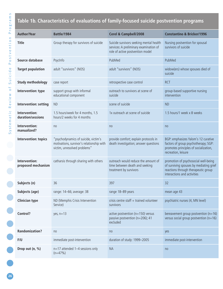# **Table 1b. Characteristics of evaluations of family-focused suicide postvention programs**

| <b>Author/Year</b>                  | <b>Battle/1984</b>                                                                                                | Cerel & Campbell/2008                                                                                                 | <b>Constantino &amp; Bricker/1996</b>                                                                                                                 |
|-------------------------------------|-------------------------------------------------------------------------------------------------------------------|-----------------------------------------------------------------------------------------------------------------------|-------------------------------------------------------------------------------------------------------------------------------------------------------|
| <b>Title</b>                        | Group therapy for survivors of suicide                                                                            | Suicide survivors seeking mental health<br>services: A preliminary examination of<br>role of active postvention model | Nursing postvention for spousal<br>survivors of suicide                                                                                               |
| Source database                     | PsycInfo                                                                                                          | PubMed                                                                                                                | PubMed                                                                                                                                                |
| <b>Target population</b>            | adult "survivors" (NOS)                                                                                           | adult "survivors" (NOS)                                                                                               | widow(ers) whose spouses died of<br>suicide                                                                                                           |
| <b>Study methodology</b>            | case report                                                                                                       | retrospective case control                                                                                            | <b>RCT</b>                                                                                                                                            |
| Intervention: type                  | support group with informal<br>educational component                                                              | outreach to survivors at scene of<br>suicide                                                                          | group-based supportive nursing<br>intervention                                                                                                        |
| Intervention: setting               | <b>ND</b>                                                                                                         | scene of suicide                                                                                                      | <b>ND</b>                                                                                                                                             |
| Intervention:<br>duration/sessions  | 1.5 hours/week for 4 months, 1.5<br>hours/2 weeks for 4 months                                                    | 1x outreach at scene of suicide                                                                                       | 1.5 hours/1 week x 8 weeks                                                                                                                            |
| Intervention:<br>manualized?        | no                                                                                                                | no                                                                                                                    | no                                                                                                                                                    |
| Intervention: topics                | "psychodynamics of suicide, victim's<br>motivations, survivor's relationship with<br>victim, unresolved problems" | provide comfort; explain protocols in<br>death investigation; answer questions                                        | BGP: emphasizes Yalom's 12 curative<br>factors of group psychotherapy; SGP:<br>promotes principles of socialization,<br>recreation, leisure           |
| Intervention:<br>proposed mechanism | catharsis through sharing with others                                                                             | outreach would reduce the amount of<br>time between death and seeking<br>treatment by survivors                       | promotion of psychosocial well-being<br>of surviving spouses by mediating grief<br>reactions through therapeutic group<br>interactions and activities |
| Subjects (n)                        | 36                                                                                                                | 397                                                                                                                   | 32                                                                                                                                                    |
| Subjects (age)                      | range: 14-66; average: 38                                                                                         | range 18-89 years                                                                                                     | mean age 43                                                                                                                                           |
| <b>Clinician type</b>               | ND (Memphis Crisis Intervention<br>Service)                                                                       | crisis centre staff $+$ trained volunteer<br>survivors                                                                | psychiatric nurses (4, MN level)                                                                                                                      |
| Control?                            | yes, $n=13$                                                                                                       | active postvention (n=150) versus<br>passive postvention (n=206); 41<br>excluded                                      | bereavement group postvention ( $n=16$ )<br>versus social group postvention (n=16)                                                                    |
| <b>Randomization?</b>               | no                                                                                                                | no                                                                                                                    | yes                                                                                                                                                   |
| F/U                                 | immediate post-intervention                                                                                       | duration of study: 1999-2005                                                                                          | immediate post-intervention                                                                                                                           |
| Drop out (n, %)                     | $n=17$ attended 1-4 sessions only<br>$(n=47%)$                                                                    | <b>NA</b>                                                                                                             | no                                                                                                                                                    |

**26**

**.....**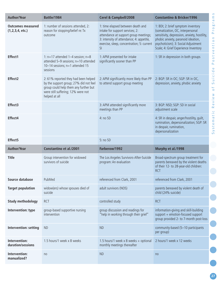| <b>Author/Year</b>                             | <b>Battle/1984</b>                                                                                                                                                            | Cerel & Campbell/2008                                                                                                                                                                                                    | <b>Constantino &amp; Bricker/1996</b>                                                                                                                                                                                                       |
|------------------------------------------------|-------------------------------------------------------------------------------------------------------------------------------------------------------------------------------|--------------------------------------------------------------------------------------------------------------------------------------------------------------------------------------------------------------------------|---------------------------------------------------------------------------------------------------------------------------------------------------------------------------------------------------------------------------------------------|
| <b>Outcomes measured</b><br>(1, 2, 3, 4, etc.) | 1: number of sessions attended, 2:<br>reason for stopping/belief re: Tx<br>outcome                                                                                            | 1: time elapsed between death and<br>intake for support services; 2:<br>attendance at support group meetings;<br>3: intensity of attendance; 4: appetite,<br>exercise, sleep, concentration; 5: current<br><sup>SI</sup> | 1: BDI; 2: brief symptom inventory<br>(somatization, OC, interpersonal<br>sensitivity, depression, anxiety, hostility,<br>phobic anxiety, paranoid ideation,<br>psychoticism); 3: Social Adjustment<br>Scale; 4: Grief Experience Inventory |
| Effect1                                        | 1: $n=17$ attended 1-4 session; $n=8$<br>attended 5-9 sessions; n=10 attended<br>10-14 sessions; n=1 attended 15<br>sessions                                                  | 1: APM presented for intake<br>significantly sooner than PP                                                                                                                                                              | 1: SR in depression in both groups                                                                                                                                                                                                          |
| Effect2                                        | 2:61% reported they had been helped<br>by the support group; 27% did not feel<br>group could help them any further but<br>were still suffering; 12% were not<br>helped at all | 2: APM significantly more likely than PP<br>to attend support group meeting                                                                                                                                              | $\frac{1}{\sqrt{2}}$<br>2: BGP: SR in OC; SGP: SR in OC,<br>depression, anxiety, phobic anxiety<br>$\overline{0}$                                                                                                                           |
| Effect3                                        |                                                                                                                                                                               | 3: APM attended significantly more<br>meetings than PP                                                                                                                                                                   | 3: BGP: NSD; SGP: SD in social<br>adjustment scale                                                                                                                                                                                          |
| Effect4                                        |                                                                                                                                                                               | 4: no SD                                                                                                                                                                                                                 | 4: SR in despair, anger/hostility, guilt,<br>rumination, depersonalization; SGP: SR<br>in despair, rumination,<br>depersonalization                                                                                                         |
|                                                |                                                                                                                                                                               |                                                                                                                                                                                                                          |                                                                                                                                                                                                                                             |
| Effect5                                        |                                                                                                                                                                               | 5: no SD                                                                                                                                                                                                                 |                                                                                                                                                                                                                                             |
| <b>Author/Year</b>                             | <b>Constantino et al./2001</b>                                                                                                                                                | Farberow/1992                                                                                                                                                                                                            | Murphy et al./1998                                                                                                                                                                                                                          |
| <b>Title</b>                                   | Group intervention for widowed<br>survivors of suicide                                                                                                                        | The Los Angeles Survivors-After-Suicide<br>program: An evaluation                                                                                                                                                        | Broad-spectrum group treatment for<br>parents bereaved by the violent deaths<br>of their 12- to 28-year-old children:<br><b>RCT</b>                                                                                                         |
| Source database                                | PubMed                                                                                                                                                                        | referenced from Clark, 2001                                                                                                                                                                                              | referenced from Clark, 2001                                                                                                                                                                                                                 |
| <b>Target population</b>                       | widow(ers) whose spouses died of<br>suicide                                                                                                                                   | adult survivors (NOS)                                                                                                                                                                                                    | parents bereaved by violent death of<br>child (24% suicide)                                                                                                                                                                                 |
| <b>Study methodology</b>                       | <b>RCT</b>                                                                                                                                                                    | controlled study                                                                                                                                                                                                         | <b>RCT</b>                                                                                                                                                                                                                                  |
| Intervention: type                             | group-based supportive nursing<br>intervention                                                                                                                                | group discussion and readings for<br>"help in working through their grief"                                                                                                                                               | information-giving and skill-building<br>support + emotion-focused support<br>group provided 2- to 7-month post-loss                                                                                                                        |
| Intervention: setting                          | <b>ND</b>                                                                                                                                                                     | <b>ND</b>                                                                                                                                                                                                                | community-based (5-10 participants<br>per group)                                                                                                                                                                                            |
| Intervention:<br>duration/sessions             | 1.5 hours/1 week x 8 weeks                                                                                                                                                    | 1.5 hours/1 week $x$ 8 weeks + optional<br>monthly meetings thereafter                                                                                                                                                   | 2 hours/1 week x 12 weeks                                                                                                                                                                                                                   |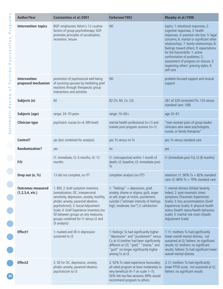| S<br>Ε<br>$\overline{\sigma}$                                                                                                                                                       | <b>Author/Year</b>                             | <b>Constantino et al./2001</b>                                                                                                                                                                                                                                                                                                                | Farberow/1992                                                                                                                                                                                                                       | Murphy et al./1998                                                                                                                                                                                                                                                                                                                                                                                                            |
|-------------------------------------------------------------------------------------------------------------------------------------------------------------------------------------|------------------------------------------------|-----------------------------------------------------------------------------------------------------------------------------------------------------------------------------------------------------------------------------------------------------------------------------------------------------------------------------------------------|-------------------------------------------------------------------------------------------------------------------------------------------------------------------------------------------------------------------------------------|-------------------------------------------------------------------------------------------------------------------------------------------------------------------------------------------------------------------------------------------------------------------------------------------------------------------------------------------------------------------------------------------------------------------------------|
| r.<br><b>bo</b><br>$\circ$<br>௳<br>$\mathbf{a}$<br>$\circ$<br>÷<br>$\equiv$<br>$\mathbf \omega$<br>$\geq$<br>ىپ<br>$\mathsf{C}\mathsf{D}$<br>$\circ$<br>௳<br>$\mathbf  \omega$<br>ਹ | Intervention: topics                           | BGP: emphasizes Yalom's 12 curative<br>factors of group psychotherapy; SGP:<br>promotes principles of socialization,<br>recreation, leisure                                                                                                                                                                                                   | <b>ND</b>                                                                                                                                                                                                                           | topics: 1: emotional responses; 2:<br>cognitive responses, 3: health<br>responses, 4: parental role loss; 5: legal<br>concerns; 6: marital or significant other<br>relationships; 7: family relationships; 8:<br>feelings toward others; 9: expectations<br>for the future/skills: 1: active<br>confrontation of problems; 2:<br>assessment of progress on closure; 3:<br>respecting others' grieving styles; 4:<br>self-care |
| $\overleftarrow{\text{o}}$<br>$\frac{1}{\sqrt{2}}$<br>$\sigma$<br>$\overline{0}$                                                                                                    | Intervention:<br>proposed mechanism            | promotion of psychosocial well-being<br>of surviving spouses by mediating grief<br>reactions through therapeutic group<br>interactions and activities                                                                                                                                                                                         | <b>ND</b>                                                                                                                                                                                                                           | problem-focused support and mutual<br>support                                                                                                                                                                                                                                                                                                                                                                                 |
| eview<br>$\propto$                                                                                                                                                                  | Subjects (n)                                   | 60                                                                                                                                                                                                                                                                                                                                            | 82 (Tx: 60, Cx: 22)                                                                                                                                                                                                                 | 261 of 329 contacted (Tx: 153 versus<br>standard care: 108)                                                                                                                                                                                                                                                                                                                                                                   |
| atic                                                                                                                                                                                | Subjects (age)                                 | range: 24-70 years                                                                                                                                                                                                                                                                                                                            | range: 10-60+                                                                                                                                                                                                                       | age 32-61                                                                                                                                                                                                                                                                                                                                                                                                                     |
| stem<br>S <sub>y</sub>                                                                                                                                                              | <b>Clinician type</b>                          | psychiatric nurses (n=4, MN level)                                                                                                                                                                                                                                                                                                            | mental health professional (n=1) and<br>trained post-program survivor $(n=1)$                                                                                                                                                       | "men-women pairs of group leader-<br>clinicians who were psychologists,<br>nurses, or family therapists"                                                                                                                                                                                                                                                                                                                      |
|                                                                                                                                                                                     | Control?                                       | yes (but combined for analysis)                                                                                                                                                                                                                                                                                                               | yes: Tx versus no Tx                                                                                                                                                                                                                | yes: Tx versus standard care                                                                                                                                                                                                                                                                                                                                                                                                  |
|                                                                                                                                                                                     | <b>Randomization?</b>                          | yes                                                                                                                                                                                                                                                                                                                                           | no                                                                                                                                                                                                                                  | yes                                                                                                                                                                                                                                                                                                                                                                                                                           |
|                                                                                                                                                                                     | F/U                                            | t1: immediate; t2: 6 months; t3: 12<br>months                                                                                                                                                                                                                                                                                                 | t1: (retrospective) within 1 month of<br>death; t2: baseline; t3: immediate post-<br>Tx                                                                                                                                             | t1 (immediate post-Tx); t2 (6 months)                                                                                                                                                                                                                                                                                                                                                                                         |
|                                                                                                                                                                                     | Drop out (n, %)                                | 13 did not complete, no ITT                                                                                                                                                                                                                                                                                                                   | completer analysis (no ITT)                                                                                                                                                                                                         | retention: $t1:90\%$ Tx + 83% standard<br>care; t2: $86\%$ Tx + 79% standard care                                                                                                                                                                                                                                                                                                                                             |
|                                                                                                                                                                                     | <b>Outcomes measured</b><br>(1, 2, 3, 4, etc.) | 1: BDI; 2: brief symptom inventory<br>(somatization, OC, interpersonal<br>sensitivity, depression, anxiety, hostility,<br>phobic anxiety, paranoid ideation,<br>psychoticism); 3: Social Adjustment<br>Scale; 4: Grief Experience Inventory (no<br>SD between groups on any measures,<br>groups combined for t1 versus t2 and<br>t3 analysis) | 1: "feelings" = depression, grief,<br>anxiety, shame or stigma, guilt, anger<br>at self, anger at victim, puzzlement,<br>suicidal ("estimate intensity of feelings:<br>high, moderate, low") 2: satisfaction                        | 1: mental distress (Global Severity<br>Index); 2: post-traumatic stress<br>symptoms (Traumatic Experiences<br>Scale); 3: loss accommodation (Grief<br>Experiences Scale); 4: physical health<br>status (health status/health behaviors<br>scale); 5: marital role strain (Dyadic<br>Adjustment Scale)                                                                                                                         |
|                                                                                                                                                                                     | Effect1                                        | 1: marked and SR in depression<br>sustained to t3                                                                                                                                                                                                                                                                                             | 1: feelings: Tx had significantly higher<br>"depression" and "puzzlement" versus<br>Cx at t3 (neither had been significantly<br>different at t2); "grief," "shame," and<br>"guilt" no longer significantly higher<br>among Tx at t3 | 1: t1: mothers: Tx had significantly<br>lower overall mental distress, not<br>sustained at t2; fathers: no significant<br>results; t2: mothers: no significant<br>results; fathers: Tx had significant lower<br>overall mental distress                                                                                                                                                                                       |
| 28                                                                                                                                                                                  | Effect2                                        | 2: SD for OC, depression, anxiety,<br>phobic anxiety, paranoid ideation,<br>psychoticism to t3                                                                                                                                                                                                                                                | 2: 92% Tx rated experience favourably;<br>all rated program at least moderately to<br>very beneficial $(4-7)$ on scale $1-7$ );<br>50% felt too few sessions; 89% would<br>recommend program to others                              | 2: t1: mothers: Tx had significantly<br>lower PTSD score, not sustained at t2;<br>fathers: no significant results                                                                                                                                                                                                                                                                                                             |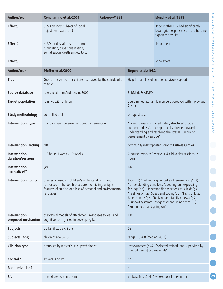| <b>Author/Year</b>                  | <b>Constantino et al./2001</b>                                                                                                                                                         | Farberow/1992           |                                                  | Murphy et al./1998                                                                                                                                                                                                                                                                                                                           | S<br>E<br>$\overline{\sigma}$             |
|-------------------------------------|----------------------------------------------------------------------------------------------------------------------------------------------------------------------------------------|-------------------------|--------------------------------------------------|----------------------------------------------------------------------------------------------------------------------------------------------------------------------------------------------------------------------------------------------------------------------------------------------------------------------------------------------|-------------------------------------------|
| Effect3                             | 3: SD on most subsets of social<br>adjustment scale to t3                                                                                                                              |                         |                                                  | 3: t2: mothers: Tx had significantly<br>lower grief responses score; fathers: no<br>significant results                                                                                                                                                                                                                                      | Υ,<br>bo<br>$\circ$<br>تم<br>$\mathbf{a}$ |
| Effect4                             | 4: SD for despair, loss of control,<br>rumination, depersonalization,<br>somatization, death anxiety to t3                                                                             |                         |                                                  | 4: no effect                                                                                                                                                                                                                                                                                                                                 | ntio<br>$\mathbf 0$<br>$\geq$             |
| Effect <sub>5</sub>                 |                                                                                                                                                                                        |                         |                                                  | 5: no effect                                                                                                                                                                                                                                                                                                                                 | S<br>$\circ$<br>$\Delta$                  |
| <b>Author/Year</b>                  | Pfeffer et al./2002                                                                                                                                                                    |                         | Rogers et al./1982                               |                                                                                                                                                                                                                                                                                                                                              | $\sigma$<br>i ci d                        |
| <b>Title</b>                        | Group intervention for children bereaved by the suicide of a<br>relative                                                                                                               |                         |                                                  | Help for families of suicide: Survivors support                                                                                                                                                                                                                                                                                              | $\Rightarrow$<br>S<br>$\overline{0}$      |
| Source database                     | referenced from Andriessen, 2009                                                                                                                                                       |                         | PubMed, PsycINFO                                 |                                                                                                                                                                                                                                                                                                                                              |                                           |
| <b>Target population</b>            | families with children                                                                                                                                                                 |                         | 2 years                                          | adult immediate family members bereaved within previous                                                                                                                                                                                                                                                                                      | eview<br>$\simeq$                         |
| <b>Study methodology</b>            | controlled trial                                                                                                                                                                       |                         | pre-/post-test                                   |                                                                                                                                                                                                                                                                                                                                              | $\cup$<br>Φ<br>$\sigma$                   |
| Intervention: type                  | manual-based bereavement group intervention                                                                                                                                            | bereavement by suicide" |                                                  | "non-professional, time-limited, structured program of<br>support and assistance specifically directed toward<br>understanding and resolving the stresses unique to                                                                                                                                                                          | E<br>stel<br>$\overline{S}$               |
| Intervention: setting               | <b>ND</b>                                                                                                                                                                              |                         | community (Metropolitan Toronto Distress Centre) |                                                                                                                                                                                                                                                                                                                                              |                                           |
| Intervention:<br>duration/sessions  | 1.5 hours/1 week x 10 weeks                                                                                                                                                            |                         | hours)                                           | 2 hours/1 week x 8 weeks + 4 x biweekly sessions (?                                                                                                                                                                                                                                                                                          |                                           |
| Intervention:<br>manualized?        | yes                                                                                                                                                                                    |                         | <b>ND</b>                                        |                                                                                                                                                                                                                                                                                                                                              |                                           |
| Intervention: topics                | themes focused on children's understanding of and<br>responses to the death of a parent or sibling, unique<br>features of suicide, and loss of personal and environmental<br>resources |                         | "Summing up and going on"                        | topics: 1) "Getting acquainted and remembering"; 2)<br>"Understanding ourselves: Accepting and expressing<br>feelings"; 3) "Understanding reactions to suicide"; 4)<br>"Feelings of loss: Stress and coping"; 5) "Facts of loss:<br>Role changes"; 6) "Reliving and family renewal"; 7)<br>"Support systems: Recognizing and using them"; 8) |                                           |
| Intervention:<br>proposed mechanism | theoretical models of attachment, responses to loss, and<br>cognitive coping used in developing Tx                                                                                     |                         | <b>ND</b>                                        |                                                                                                                                                                                                                                                                                                                                              |                                           |
| Subjects (n)                        | 52 families, 75 children                                                                                                                                                               |                         | 53                                               |                                                                                                                                                                                                                                                                                                                                              |                                           |
| Subjects (age)                      | children: age 6-15                                                                                                                                                                     |                         | range: 15-68 (median: 40.3)                      |                                                                                                                                                                                                                                                                                                                                              |                                           |
| <b>Clinician type</b>               | group led by master's-level psychologist                                                                                                                                               |                         | [mental health] professionals"                   | lay volunteers ( $n=2$ ) "selected, trained, and supervised by                                                                                                                                                                                                                                                                               |                                           |
| Control?                            | Tx versus no Tx                                                                                                                                                                        |                         | no                                               |                                                                                                                                                                                                                                                                                                                                              |                                           |
| <b>Randomization?</b>               | no                                                                                                                                                                                     |                         | no                                               |                                                                                                                                                                                                                                                                                                                                              |                                           |
| F/U                                 | immediate post-intervention                                                                                                                                                            |                         |                                                  | t1: baseline; t2: 4-6 weeks post-intervention                                                                                                                                                                                                                                                                                                | 29                                        |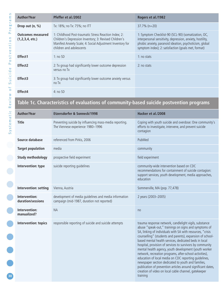| <b>Author/Year</b>                         | Pfeffer et al./2002                                                                                     |
|--------------------------------------------|---------------------------------------------------------------------------------------------------------|
| Drop out (n, %)                            | Tx: 18%; no Tx: 75%                                                                                     |
| <b>Outcomes measured</b><br>(1,2,3,4,etc.) | 1: Childhood Post-tra<br>Children's Depression<br><b>Manifest Anxiety Scal</b><br>children and adolesce |
| Effect1                                    | 1: no SD                                                                                                |
| Effect <sub>2</sub>                        | 2: Tx group had signi<br>versus no Tx                                                                   |
| Effect3                                    | 3: Tx group had signi<br>no Tx                                                                          |
| Effect4                                    | 4:noSD                                                                                                  |
| Table 1c. Characteristics of eva           |                                                                                                         |
| <b>Author/Year</b>                         | <b>Etzersdorfer &amp; Sor</b>                                                                           |
| <b>Title</b>                               | Preventing suicide by<br>Tha Viannaca avnaria                                                           |

| uthor/Year،                        | Pfeffer et al./2002                                                                                                                                                                                       | Rogers et al./1982                                                                                                                                                                                                                  |
|------------------------------------|-----------------------------------------------------------------------------------------------------------------------------------------------------------------------------------------------------------|-------------------------------------------------------------------------------------------------------------------------------------------------------------------------------------------------------------------------------------|
| rop out (n, %)                     | Tx: 18%; no Tx: 75%; no ITT                                                                                                                                                                               | $37.7\%$ (n=20)                                                                                                                                                                                                                     |
| utcomes measured<br>1,2,3,4, etc.) | 1: Childhood Post-traumatic Stress Reaction Index; 2:<br>Children's Depression Inventory; 3: Revised Children's<br>Manifest Anxiety Scale; 4: Social Adjustment Inventory for<br>children and adolescents | 1: Symptom Checklist-90 (SCL-90) (somatization, OC,<br>interpersonal sensitivity, depression, anxiety, hostility,<br>phobic anxiety, paranoid ideation, psychoticism, global<br>symptom index); 2: satisfaction (goals met, format) |
| ffect1                             | 1:noSD                                                                                                                                                                                                    | 1: no stats                                                                                                                                                                                                                         |
| ffect2                             | 2: Tx group had significantly lower outcome depression<br>versus no Tx                                                                                                                                    | 2: no stats                                                                                                                                                                                                                         |
| ffect3                             | 3: Tx group had significantly lower outcome anxiety versus<br>no Tx                                                                                                                                       |                                                                                                                                                                                                                                     |
| ffect4                             | 4:noSD                                                                                                                                                                                                    |                                                                                                                                                                                                                                     |

# **Table 1c. Characteristics of evaluations of community-based suicide postvention programs**

| $\cup$<br>÷<br>$\sigma$ | <b>Author/Year</b>                 | <b>Etzersdorfer &amp; Sonneck/1998</b>                                                              | Hacker et al./2008                                                                                                                                                                                                                                                                                                                                                                                                                                                                                                                                                                                                                                                                                                                      |  |  |  |
|-------------------------|------------------------------------|-----------------------------------------------------------------------------------------------------|-----------------------------------------------------------------------------------------------------------------------------------------------------------------------------------------------------------------------------------------------------------------------------------------------------------------------------------------------------------------------------------------------------------------------------------------------------------------------------------------------------------------------------------------------------------------------------------------------------------------------------------------------------------------------------------------------------------------------------------------|--|--|--|
| System                  | <b>Title</b>                       | Preventing suicide by influencing mass-media reporting.<br>The Viennese experience 1980-1996        | Coping with youth suicide and overdose: One community's<br>efforts to investigate, intervene, and prevent suicide<br>contagion                                                                                                                                                                                                                                                                                                                                                                                                                                                                                                                                                                                                          |  |  |  |
|                         | Source database                    | referenced from Pirkis, 2006                                                                        | PubMed                                                                                                                                                                                                                                                                                                                                                                                                                                                                                                                                                                                                                                                                                                                                  |  |  |  |
|                         | <b>Target population</b>           | media                                                                                               | community                                                                                                                                                                                                                                                                                                                                                                                                                                                                                                                                                                                                                                                                                                                               |  |  |  |
|                         | <b>Study methodology</b>           | prospective field experiment                                                                        | field experiment                                                                                                                                                                                                                                                                                                                                                                                                                                                                                                                                                                                                                                                                                                                        |  |  |  |
|                         | Intervention: type                 | suicide reporting guidelines                                                                        | community-wide intervention based on CDC<br>recommendations for containment of suicide contagion:<br>support services, youth development, media approaches,<br>education                                                                                                                                                                                                                                                                                                                                                                                                                                                                                                                                                                |  |  |  |
|                         | Intervention: setting              | Vienna, Austria                                                                                     | Sommerville, MA (pop. 77,478)                                                                                                                                                                                                                                                                                                                                                                                                                                                                                                                                                                                                                                                                                                           |  |  |  |
|                         | Intervention:<br>duration/sessions | development of media quidelines and media information<br>campaign (mid-1987, duration not reported) | 2 years (2003-2005)                                                                                                                                                                                                                                                                                                                                                                                                                                                                                                                                                                                                                                                                                                                     |  |  |  |
|                         | Intervention:<br>manualized?       | <b>NA</b>                                                                                           | no                                                                                                                                                                                                                                                                                                                                                                                                                                                                                                                                                                                                                                                                                                                                      |  |  |  |
| 30                      | Intervention: topics               | responsible reporting of suicide and suicide attempts                                               | trauma response network, candlelight vigils, substance<br>abuse "speak-out," trainings on signs and symptoms of<br>SA, linking of individuals with SA with resources, "crisis<br>counselling" (students and parents), expansion of school-<br>based mental health services, dedicated beds in local<br>hospital, provision of services to survivors by community<br>mental health agency, youth development (youth worker<br>network, recreation programs, after-school-activities),<br>education of local media on CDC reporting guidelines,<br>newspaper section dedicated to youth and families,<br>publication of prevention articles around significant dates,<br>creation of video on local cable channel, gatekeeper<br>training |  |  |  |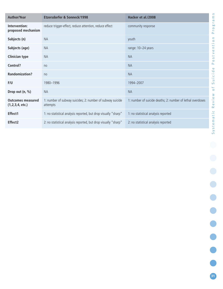| <b>Author/Year</b>                         | Etzersdorfer & Sonneck/1998                                           | Hacker et al./2008                                         |
|--------------------------------------------|-----------------------------------------------------------------------|------------------------------------------------------------|
| Intervention:<br>proposed mechanism        | reduce trigger-effect, reduce attention, reduce effect                | community response                                         |
| Subjects (n)                               | <b>NA</b>                                                             | youth                                                      |
| Subjects (age)                             | <b>NA</b>                                                             | range: 10-24 years                                         |
| <b>Clinician type</b>                      | <b>NA</b>                                                             | <b>NA</b>                                                  |
| Control?                                   | no                                                                    | <b>NA</b>                                                  |
| <b>Randomization?</b>                      | no                                                                    | <b>NA</b>                                                  |
| F/U                                        | 1980-1996                                                             | 1994-2007                                                  |
| Drop out (n, %)                            | <b>NA</b>                                                             | <b>NA</b>                                                  |
| <b>Outcomes measured</b><br>(1,2,3,4,etc.) | 1: number of subway suicides; 2: number of subway suicide<br>attempts | 1: number of suicide deaths; 2: number of lethal overdoses |
| Effect1                                    | 1: no statistical analysis reported, but drop visually "sharp"        | 1: no statistical analysis reported                        |
| Effect <sub>2</sub>                        | 2: no statistical analysis reported, but drop visually "sharp"        | 2: no statistical analysis reported                        |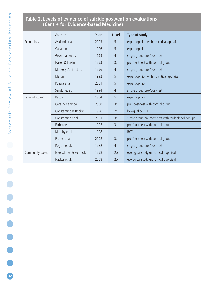# **Table 2. Levels of evidence of suicide postvention evaluations (Centre for Evidence-based Medicine)**

|                 | <b>Author</b>          | Year | Level          | <b>Type of study</b>                                 |
|-----------------|------------------------|------|----------------|------------------------------------------------------|
| School-based    | Askland et al.         | 2003 | 5              | expert opinion with no critical appraisal            |
|                 | Callahan               | 1996 | 5              | expert opinion                                       |
|                 | Grossman et al.        | 1995 | $\overline{4}$ | single group pre-/post-test                          |
|                 | Hazell & Lewin         | 1993 | 3 <sub>b</sub> | pre-/post-test with control group                    |
|                 | Mackesy-Amiti et al.   | 1996 | $\overline{4}$ | single group pre-/post-test                          |
|                 | Martin                 | 1992 | 5              | expert opinion with no critical appraisal            |
|                 | Poijula et al.         | 2001 | 5              | expert opinion                                       |
|                 | Sandor et al.          | 1994 | $\overline{4}$ | single group pre-/post-test                          |
| Family-focused  | <b>Battle</b>          | 1984 | 5              | expert opinion                                       |
|                 | Cerel & Campbell       | 2008 | 3 <sub>b</sub> | pre-/post-test with control group                    |
|                 | Constantino & Bricker  | 1996 | 2 <sub>b</sub> | low-quality RCT                                      |
|                 | Constantino et al.     | 2001 | 3 <sub>b</sub> | single group pre-/post-test with multiple follow-ups |
|                 | Farberow               | 1992 | 3 <sub>b</sub> | pre-/post-test with control group                    |
|                 | Murphy et al.          | 1998 | 1 <sub>b</sub> | <b>RCT</b>                                           |
|                 | Pfeffer et al.         | 2002 | 3 <sub>b</sub> | pre-/post-test with control group                    |
|                 | Rogers et al.          | 1982 | $\overline{4}$ | single group pre-/post-test                          |
| Community-based | Etzersdorfer & Sonneck | 1998 | $2c(-)$        | ecological study (no critical appraisal)             |
|                 | Hacker et al.          | 2008 | $2c(-)$        | ecological study (no critical appraisal)             |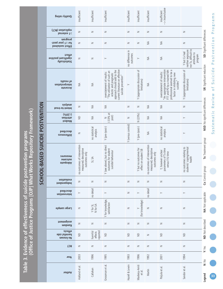# Table 3. Evidence of effectiveness of suicide postvention programs<br>(Office of Justice Programs [OJP] What Works Repository Framework) **(Office of Justice Programs [OJP] What Works Repository Framework) Table 3. Evidence of effectiveness of suicide postvention programs**

| l |  |
|---|--|
|   |  |
|   |  |
|   |  |
|   |  |
|   |  |
| þ |  |
|   |  |
|   |  |
|   |  |
|   |  |
|   |  |
|   |  |
|   |  |
|   |  |
|   |  |
|   |  |
|   |  |
|   |  |
|   |  |
| ı |  |
|   |  |
|   |  |
|   |  |
|   |  |
| j |  |
|   |  |
|   |  |
|   |  |
|   |  |
|   |  |

| Quality rating                                       | insufficient                                                          | insufficient                   | insufficient                                                                                                                                                               | insufficient                 | insufficient                                  | insufficient                                                          | -- > inconclusive<br>insufficient                                                                                                                  |                                                                                     |                                 |
|------------------------------------------------------|-----------------------------------------------------------------------|--------------------------------|----------------------------------------------------------------------------------------------------------------------------------------------------------------------------|------------------------------|-----------------------------------------------|-----------------------------------------------------------------------|----------------------------------------------------------------------------------------------------------------------------------------------------|-------------------------------------------------------------------------------------|---------------------------------|
| replication (RCT)<br>$s$ 1 external                  | $\geq$                                                                | $\geq$                         | Z                                                                                                                                                                          | $\geq$                       | Z                                             | $\geq$                                                                | $\geq$                                                                                                                                             | $\geq$                                                                              |                                 |
| program<br>for ≥1 year post-<br>Effect sustained     | $\geq$                                                                | Z                              | Z                                                                                                                                                                          | Z                            | Z                                             | $\lessgtr$                                                            | $\lessgtr$                                                                                                                                         | $\geq$                                                                              | SD: Significant differences     |
| effect<br>svitizoq tnasitingiz<br>Statistically      | $\geq$                                                                | $\geq$                         | $\succ$                                                                                                                                                                    | no difference in<br>outcomes | $\succ$                                       | $\lessgtr$                                                            | $\lessgtr$                                                                                                                                         | nor Tx, difficult to<br>neither exposure<br>Y but Cx had<br>attribute to<br>program |                                 |
| of results<br>interpretation<br>Accurate             | $\lessgtr$                                                            | $\lessgtr$                     | current literature on effective<br>approach should add to the<br>"The utilization of such an<br>overstatement of results:<br>eclectic and pragmatic<br>suicide prevention" | $\succ$                      | Y (appropriate discussion of<br>limitations)  | $\lessgtr$                                                            | "An appropriate intervention<br>professional seemed to be a<br>FTT and PD by a trained MH<br>overstatement of results:<br>factor in inhibiting new | Y (appropriate discussion of<br>limitations)                                        | SR: Significant reduction       |
| aizylana<br>Intent-to-treat                          | z                                                                     | $\lessgtr$                     | $\lessgtr$                                                                                                                                                                 | z                            | Z                                             | $\lessgtr$                                                            | $\lessgtr$                                                                                                                                         | $\geq$                                                                              |                                 |
| (%0Z)<br>attrition<br><b>JeshoM</b>                  | $\supseteq$                                                           | $\lessgtr$                     | $(-33% at)$<br>post)<br>$\geq$                                                                                                                                             | $\geq$                       | N(23%)                                        | $\lessgtr$                                                            | $\lessgtr$                                                                                                                                         | $\succ$                                                                             | NSD: No significant differences |
| described<br>Differences                             | $\geq$                                                                | no statistical<br>analysis     | Y (pre-/post-)                                                                                                                                                             | Y (versus control)           | Y (pre-/post-)                                | $\lessgtr$                                                            | no statistical<br>analysis                                                                                                                         | $\succ$                                                                             |                                 |
| measures<br>outcome<br>Adequate                      | no outcomes of intervention<br>measured; descriptive<br>outcomes only | SI, SA                         | Y (see above), but no direct<br>outcomes for student<br>suicidal behaviour                                                                                                 | $\succ$                      | Y but no outcomes for<br>effect on student SB | no outcomes of intervention<br>measured; descriptive<br>outcomes only | Y, however unclear<br>parameters of Tx time<br>versus F/U time                                                                                     | no outcomes relating to<br>students' coping/mental<br>health                        | Tx: Treatment group             |
| evaluation<br>lndependent                            | $\geq$                                                                | $\geq$                         | $\geq$                                                                                                                                                                     | $\geq$                       | Z                                             | $\geq$                                                                | $\geq$                                                                                                                                             | $\geq$                                                                              | Cx: Control group               |
| described<br>Intervention                            | $\succ$                                                               | no detail                      | $\succ$                                                                                                                                                                    | $\geq$                       | $\succ$                                       | no detail                                                             | $\succ$                                                                                                                                            | $\succ$                                                                             |                                 |
| <b>Large sample</b>                                  | $\geq$                                                                | Y for SI,<br>N for SA          | Y for knowledge,<br>satisfaction                                                                                                                                           | $\geq$                       | (for knowledge)                               | $\geq$                                                                | $\geq$                                                                                                                                             | $\geq$                                                                              | <b>NA: Not applicable</b>       |
| <i>auamunoisse</i><br><b>wopuey</b>                  | $\geq$                                                                | $\geq$                         | Z                                                                                                                                                                          | $\geq$                       | Z                                             | $\geq$                                                                | $\geq$                                                                                                                                             | $\geq$                                                                              |                                 |
| effects<br><b>apis Intminsion</b><br><b>UWOUY ON</b> | $\supseteq$                                                           | reported<br>harmful<br>effects | $\supseteq$                                                                                                                                                                | $\supseteq$                  | $\supseteq$                                   | $\geq$                                                                | $\supseteq$                                                                                                                                        | $\supseteq$                                                                         | <b>ND: Not described</b>        |
| <b>RCT</b>                                           | $\geq$                                                                | $\geq$                         | $\geq$                                                                                                                                                                     | $\geq$                       | $\geq$                                        | $\geq$                                                                | $\geq$                                                                                                                                             | $\geq$                                                                              | Y: Yes                          |
| Year                                                 | 2003                                                                  | 1996                           | 1995                                                                                                                                                                       | 1993                         | 1996                                          | 1992                                                                  | 2001                                                                                                                                               | 1994                                                                                | N: No                           |
| <b>Nuthor</b>                                        | Askland et al.                                                        | Callahan                       | Grossman et al.                                                                                                                                                            | Hazell & Lewin               | Mackesy-Amiti<br>et al.                       | Martin                                                                | Poijula et al.                                                                                                                                     | Sandor et al.                                                                       | Legend                          |

Systematic Review of Suicide Postvention Programs Systematic Review of Suicide Postvention Programs

**33**

**.** . . . . . .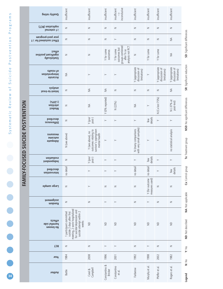| s<br>u         |
|----------------|
|                |
|                |
|                |
|                |
|                |
|                |
|                |
|                |
|                |
|                |
| j              |
|                |
| $\blacksquare$ |
| $\bullet$      |
|                |
| $\bullet$      |
|                |
| $\bullet$      |
| $\bullet$      |
|                |
| $\bullet$      |
|                |
| Ø<br>C         |
| 34             |
|                |

|                                   | Quality rating                                    | insufficient                                                                                                                                              | insufficient                                                                        | insufficient             | inconclusive<br>insufficient                                                     | insufficient                                    | insufficient                     | insufficient                                    | insufficient                                    |                                 |  |
|-----------------------------------|---------------------------------------------------|-----------------------------------------------------------------------------------------------------------------------------------------------------------|-------------------------------------------------------------------------------------|--------------------------|----------------------------------------------------------------------------------|-------------------------------------------------|----------------------------------|-------------------------------------------------|-------------------------------------------------|---------------------------------|--|
|                                   | (TOR) noitspilqer<br>≥1 external                  | $\geq$                                                                                                                                                    | $\geq$                                                                              | $\geq$                   | $\geq$                                                                           | $\geq$                                          | $\geq$                           | $\geq$                                          | $\geq$                                          |                                 |  |
|                                   | year post-program<br>Effect sustained for $\geq$  | $\geq$                                                                                                                                                    | $\geq$                                                                              | $\geq$                   | $\succ$                                                                          | $\geq$                                          | $\geq$                           | $\geq$                                          | $\lessgtr$                                      |                                 |  |
|                                   | effect<br>significant positive<br>Statistically   | $\geq$                                                                                                                                                    | $\geq$                                                                              | Y for some<br>outcomes   | groups combined<br>analysis not RCT<br>outcomes but<br>Y for some<br>after Tx so | $\geq$                                          | Y for some                       | Y for some                                      | $\stackrel{\triangle}{\geq}$                    | SD: Significant differences     |  |
|                                   | of results<br>interpretation<br>Accurate          | $\lessgtr$                                                                                                                                                | $\succ$                                                                             | $\succ$                  | $\succ$                                                                          | Y (appropriate<br>discussion of<br>limitations) | $\succ$                          | Y (appropriate<br>discussion of<br>limitations) | Y (appropriate<br>discussion of<br>limitations) | SR: Significant reduction       |  |
|                                   | <b>sizvlana</b><br>Intent-to-treat                | $\geq$                                                                                                                                                    | $\lessgtr$                                                                          | $\lessgtr$               | Z                                                                                | $\geq$                                          | $\geq$                           | $\geq$                                          | ₹                                               |                                 |  |
| <b>OCUSED SUICIDE POSTVENTION</b> | (%0Z)<br>atrition<br><b>tzeboM</b>                | $\geq$                                                                                                                                                    | $\lessgtr$                                                                          | Y (0% reported)          | N (22%)                                                                          | $\lessgtr$                                      | $\succ$                          | N (Cx lost 75%)                                 | N (-37% at<br>post-test)                        | NSD: No significant differences |  |
|                                   | bedivesb<br>Differences                           | $\geq$                                                                                                                                                    | $Y$ (pre/<br>post-)                                                                 | $\succ$                  | $\succ$                                                                          | $\succ$                                         | few<br>details                   | $\left. \right.$                                | $\succ$                                         |                                 |  |
|                                   | measures<br>outcome<br>Adequate                   | N (see above)                                                                                                                                             | survivor's coping/own<br>mental health<br>outcomes relating to<br>Y (see above), no | $\succ$                  | $\succ$                                                                          | with very small samples)<br>N (many comparisons | $\succ$                          | $\succ$                                         | no statistical analysis                         | Tx: Treatment group             |  |
|                                   | evaluation<br><b>u</b> apuadapul                  | $\geq$                                                                                                                                                    | $Y$ (pre/<br>post-)                                                                 | $\succ$                  | $\succ$                                                                          | $\succ$                                         | details<br>few                   | $\left. \right.$                                | $\succ$                                         |                                 |  |
|                                   | described<br>Intervention                         | no detai                                                                                                                                                  | $\succ$                                                                             | $\succ$                  | $\succ$                                                                          | no detail                                       | no detai                         | $\succ$                                         | details<br>few                                  | Cx: Control group               |  |
| FAMILY-F                          | <b>Large sample</b>                               | $\geq$                                                                                                                                                    | $\succ$                                                                             | $\geq$                   | $\geq$                                                                           | $\geq$                                          | Y (for outcome<br>measures used) | $\geq$                                          | Z                                               |                                 |  |
|                                   | tnemnneizza<br>mopuey                             | $\geq$                                                                                                                                                    | $\geq$                                                                              | $\succ$                  | $\succ$                                                                          | $\geq$                                          | $\succ$                          | $\geq$                                          | $\geq$                                          | <b>NA: Not applicable</b>       |  |
|                                   | effects<br><b>apis Intmind</b><br><b>UWOUY ON</b> | meeting, 2 were hospitalized<br>for suicidal depression and<br>suicide attempt within 2<br>1 participant committed<br>suicide 2 days after first<br>weeks | $\supseteq$                                                                         | $\supseteq$              | $\supseteq$                                                                      | $\supseteq$                                     | $\supseteq$                      | $\supseteq$                                     | $\supseteq$                                     | <b>ND: Not described</b>        |  |
|                                   | <b>RCT</b>                                        | $\geq$                                                                                                                                                    | $\geq$                                                                              | $\succ$                  | $\succ$                                                                          | $\geq$                                          | $\succ$                          | $\geq$                                          | $\geq$                                          | Y: Yes                          |  |
|                                   | Year                                              | 1984                                                                                                                                                      | 2008                                                                                | 1996                     | 2001                                                                             | 1992                                            | 1998                             | 2002                                            | 1982                                            | N: No                           |  |
|                                   | nodtuA                                            | Battle                                                                                                                                                    | Cerel &<br>Campbell                                                                 | Constantino &<br>Bricker | Constantino<br>et al.                                                            | Farberow                                        | Murphy et al                     | Pfeffer et al                                   | Rogers et al.                                   | Legend                          |  |

NSD: No significant differences

SR: Significant reduction

SD: Significant differences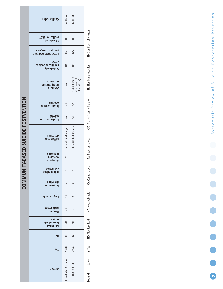| insufficient<br>nsufficien<br>Quality rating<br>SD: Significant differences<br>(TOR) noitspilqey<br>z<br>z<br>≥1 external<br>year post-program<br>≨<br>≨<br><b>Fffect sustained for 21</b><br>effect<br>₹<br>≨<br>svitizoq tnasitingiz<br>SR: Significant reduction<br><b>VIIsoitaiteally</b><br>of results<br>≸<br>interpretation<br>Accurate<br>NSD: No significant differences<br><b>TY-BASED SUICIDE POSTVENTION</b><br><b>sizylans</b><br>$\frac{4}{2}$<br>₹<br>Intent-to-treat<br>(% 0,075)<br>≸<br>≸<br>Modest attrition<br>no statistical analysis<br>no statistical analysis<br>described<br><b>Tx:</b> Treatment group<br>Differences<br>measures<br>outcome<br>Adequate<br>Cx: Control group<br>evaluation<br><b>COMMUN</b><br>z<br>z<br>Juapuadapul<br>described<br>Intervention<br><b>NA: Not applicable</b><br>₹<br><b>Large sample</b><br>assignment<br>≸<br>z<br>Random<br><b>ND:</b> Not described<br>effects<br>$\supseteq$<br>$\supseteq$<br><b>Journal</b> side<br><b>No known</b><br><b>RCT</b><br>z<br>z<br>Y: Yes<br>1998<br>2008<br>Year<br>N: No<br>Hacker et al.<br>nodthor |  |  |                       |  |        |  |
|-------------------------------------------------------------------------------------------------------------------------------------------------------------------------------------------------------------------------------------------------------------------------------------------------------------------------------------------------------------------------------------------------------------------------------------------------------------------------------------------------------------------------------------------------------------------------------------------------------------------------------------------------------------------------------------------------------------------------------------------------------------------------------------------------------------------------------------------------------------------------------------------------------------------------------------------------------------------------------------------------------------------------------------------------------------------------------------------------------|--|--|-----------------------|--|--------|--|
|                                                                                                                                                                                                                                                                                                                                                                                                                                                                                                                                                                                                                                                                                                                                                                                                                                                                                                                                                                                                                                                                                                       |  |  |                       |  |        |  |
|                                                                                                                                                                                                                                                                                                                                                                                                                                                                                                                                                                                                                                                                                                                                                                                                                                                                                                                                                                                                                                                                                                       |  |  |                       |  |        |  |
|                                                                                                                                                                                                                                                                                                                                                                                                                                                                                                                                                                                                                                                                                                                                                                                                                                                                                                                                                                                                                                                                                                       |  |  |                       |  |        |  |
|                                                                                                                                                                                                                                                                                                                                                                                                                                                                                                                                                                                                                                                                                                                                                                                                                                                                                                                                                                                                                                                                                                       |  |  |                       |  |        |  |
|                                                                                                                                                                                                                                                                                                                                                                                                                                                                                                                                                                                                                                                                                                                                                                                                                                                                                                                                                                                                                                                                                                       |  |  |                       |  |        |  |
|                                                                                                                                                                                                                                                                                                                                                                                                                                                                                                                                                                                                                                                                                                                                                                                                                                                                                                                                                                                                                                                                                                       |  |  |                       |  |        |  |
|                                                                                                                                                                                                                                                                                                                                                                                                                                                                                                                                                                                                                                                                                                                                                                                                                                                                                                                                                                                                                                                                                                       |  |  |                       |  |        |  |
|                                                                                                                                                                                                                                                                                                                                                                                                                                                                                                                                                                                                                                                                                                                                                                                                                                                                                                                                                                                                                                                                                                       |  |  |                       |  |        |  |
|                                                                                                                                                                                                                                                                                                                                                                                                                                                                                                                                                                                                                                                                                                                                                                                                                                                                                                                                                                                                                                                                                                       |  |  |                       |  |        |  |
|                                                                                                                                                                                                                                                                                                                                                                                                                                                                                                                                                                                                                                                                                                                                                                                                                                                                                                                                                                                                                                                                                                       |  |  |                       |  |        |  |
|                                                                                                                                                                                                                                                                                                                                                                                                                                                                                                                                                                                                                                                                                                                                                                                                                                                                                                                                                                                                                                                                                                       |  |  |                       |  |        |  |
|                                                                                                                                                                                                                                                                                                                                                                                                                                                                                                                                                                                                                                                                                                                                                                                                                                                                                                                                                                                                                                                                                                       |  |  |                       |  |        |  |
|                                                                                                                                                                                                                                                                                                                                                                                                                                                                                                                                                                                                                                                                                                                                                                                                                                                                                                                                                                                                                                                                                                       |  |  |                       |  |        |  |
|                                                                                                                                                                                                                                                                                                                                                                                                                                                                                                                                                                                                                                                                                                                                                                                                                                                                                                                                                                                                                                                                                                       |  |  |                       |  |        |  |
|                                                                                                                                                                                                                                                                                                                                                                                                                                                                                                                                                                                                                                                                                                                                                                                                                                                                                                                                                                                                                                                                                                       |  |  |                       |  |        |  |
|                                                                                                                                                                                                                                                                                                                                                                                                                                                                                                                                                                                                                                                                                                                                                                                                                                                                                                                                                                                                                                                                                                       |  |  |                       |  |        |  |
|                                                                                                                                                                                                                                                                                                                                                                                                                                                                                                                                                                                                                                                                                                                                                                                                                                                                                                                                                                                                                                                                                                       |  |  | Etzerdorfer & Sonneck |  | Legend |  |

Systematic Review of Suicide Postvention Programs Systematic Review of Suicide Postvention Programs

**35**

 $\bullet$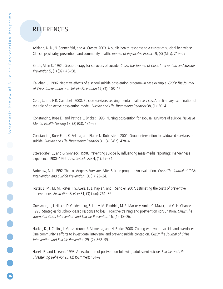# REFERENCES

Askland, K. D., N. Sonnenfeld, and A. Crosby. 2003. A public health response to a cluster of suicidal behaviors: Clinical psychiatry, prevention, and community health. Journal of Psychiatric Practice 9, (3) (May): 219–27.

Battle, Allen O. 1984. Group therapy for survivors of suicide. Crisis: The Journal of Crisis Intervention and Suicide Prevention 5, (1) (07): 45–58.

Callahan, J. 1996. Negative effects of a school suicide postvention program--a case example. Crisis: The Journal of Crisis Intervention and Suicide Prevention 17, (3): 108–15.

Cerel, J., and F. R. Campbell. 2008. Suicide survivors seeking mental health services: A preliminary examination of the role of an active postvention model. Suicide and Life-Threatening Behavior 38, (1): 30-4.

Constantino, Rose E., and Patricia L. Bricker. 1996. Nursing postvention for spousal survivors of suicide. Issues in Mental Health Nursing 17, (2) (03): 131–52.

Constantino, Rose E., L. K. Sekula, and Elaine N. Rubinstein. 2001. Group intervention for widowed survivors of suicide. Suicide and Life-Threatening Behavior 31, (4) (Win): 428–41.

Etzersdorfer, E., and G. Sonneck. 1998. Preventing suicide by influencing mass-media reporting: The Viennese experience 1980–1996. Arch Suicide Res 4, (1): 67–74.

Farberow, N. L. 1992. The Los Angeles Survivors-After-Suicide program: An evaluation. Crisis: The Journal of Crisis Intervention and Suicide Prevention 13, (1): 23–34.

Foster, E. M., M. M. Porter, T. S. Ayers, D. L. Kaplan, and I. Sandler. 2007. Estimating the costs of preventive interventions. Evaluation Review 31, (3) (Jun): 261–86.

Grossman, J., J. Hirsch, D. Goldenberg, S. Libby, M. Fendrich, M. E. Mackesy-Amiti, C. Mazur, and G. H. Chance. 1995. Strategies for school-based response to loss: Proactive training and postvention consultation. Crisis: The Journal of Crisis Intervention and Suicide Prevention 16, (1): 18–26.

Hacker, K., J. Collins, L. Gross-Young, S. Alemeida, and N. Burke. 2008. Coping with youth suicide and overdose: One community's efforts to investigate, intervene, and prevent suicide contagion. Crisis: The Journal of Crisis Intervention and Suicide Prevention 29, (2): 868–95.

Hazell, P., and T. Lewin. 1993. An evaluation of postvention following adolescent suicide. Suicide and Life-Threatening Behavior 23, (2) (Summer): 101–9.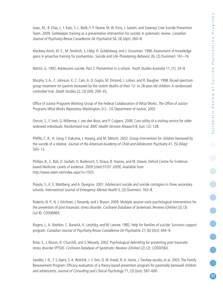Isaac, M., B. Elias, L. Y. Katz, S. L. Belik, F. P. Deane, M.W. Enns, J. Sareen, and Swampy Cree Suicide Prevention Team. 2009. Gatekeeper training as a preventative intervention for suicide: A systematic review. Canadian Journal of Psychiatry.Revue Canadienne De Psychiatrie 54, (4) (Apr): 260–8.

Mackesy-Amiti, M. E., M. Fendrich, S. Libby, D. Goldenberg, and J. Grossman. 1996. Assessment of knowledge gains in proactive training for postvention. Suicide and Life-Threatening Behavior 26, (2) (Summer): 161–74.

Martin, G. 1992. Adolescent suicide: Part 2: Postvention in a school. Youth Studies Australia 11, (1): 24–8.

Murphy, S. A., C. Johnson, K. C. Cain, A. D. Gupta, M. Dimond, J. Lohan, and R. Baugher. 1998. Broad-spectrum group treatment for parents bereaved by the violent deaths of their 12- to 28-year-old children: A randomized controlled trial. Death Studies 22, (3) (04): 209–35,

Office of Justice Programs Working Group of the Federal Collaboration of What Works. The Office of Justice Programs What Works Repository. Washington, D.C.: US Department of Justice, 2005.

Onrust, S., F. Smit, G.Willemse, J. van den Bout, and P. Cuijpers. 2008. Cost-utility of a visiting service for older widowed individuals: Randomised trial. BMC Health Services Research 8, (Jun 12): 128.

Pfeffer, C. R., H. Jiang, T. Kakuma, J. Hwang, and M. Metsch. 2002. Group intervention for children bereaved by the suicide of a relative. Journal of the American Academy of Child and Adolescent Psychiatry 41, (5) (May): 505–13.

Phillips, B., C. Ball, D. Sackett, D. Badenoch, S. Straus, B. Haynes, and M. Dawes. Oxford Centre for Evidencebased Medicine: Levels of evidence. 2009 [cited 01/07 2009]. Available from http://www.cebm.net/index.aspx?o=1025.

Poijula, S., K. E.Wahlberg, and A. Dyregrov. 2001. Adolescent suicide and suicide contagion in three secondary schools. International Journal of Emergency Mental Health 3, (3) (Summer): 163–8.

Roberts, N. P., N. J. Kitchiner, J. Kenardy, and J. Bisson. 2009. Multiple session early psychological interventions for the prevention of post-traumatic stress disorder. Cochrane Database of Systematic Reviews (Online) (3), (3) (Jul 8): CD006869.

Rogers, J., A. Sheldon, C. Barwick, K. Letofsky, and W. Lancee. 1982. Help for families of suicide: Survivors support program. Canadian Journal of Psychiatry.Revue Canadienne De Psychiatrie 27, (6) (Oct): 444–9.

Rose, S., J. Bisson, R. Churchill, and S.Wessely. 2002. Psychological debriefing for preventing post traumatic stress disorder (PTSD). Cochrane Database of Systematic Reviews (Online) (2), (2): CD000560.

Sandler, I. N., T. S. Ayers, S. A.Wolchik, J. Y. Tein, O. M. Kwok, R. A. Haine, J. Twohey-Jacobs, et al. 2003. The Family Bereavement Program: Efficacy evaluation of a theory-based prevention program for parentally bereaved children and adolescents. Journal of Consulting and Clinical Psychology 71, (3) (Jun): 587-600.

**37**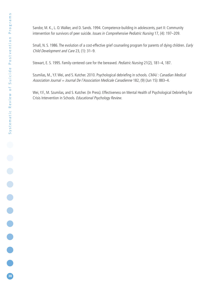Sandor, M. K., L. O.Walker, and D. Sands. 1994. Competence-building in adolescents, part II: Community intervention for survivors of peer suicide. Issues in Comprehensive Pediatric Nursing 17, (4): 197-209.

Small, N. S. 1986. The evolution of a cost-effective grief counseling program for parents of dying children. Early Child Development and Care 23, (1): 31–9.

Stewart, E. S. 1995. Family-centered care for the bereaved. Pediatric Nursing 21(2), 181-4, 187.

Szumilas, M., Y.F. Wei, and S. Kutcher. 2010. Psychological debriefing in schools. CMAJ : Canadian Medical Association Journal = Journal De l'Association Medicale Canadienne 182, (9) (Jun 15): 883-4.

Wei, Y.F., M. Szumilas, and S. Kutcher. (In Press). Effectiveness on Mental Health of Psychological Debriefing for Crisis Intervention in Schools. Educational Psychology Review.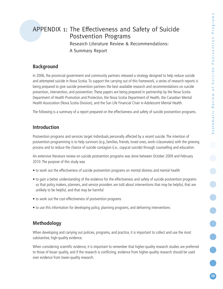**.....** 

# APPENDIX 1: The Effectiveness and Safety of Suicide Postvention Programs

Research Literature Review & Recommendations: A Summary Report

# **Background**

In 2006, the provincial government and community partners released a strategy designed to help reduce suicide and attempted suicide in Nova Scotia. To support the carrying out of this framework, a series of research reports is being prepared to give suicide prevention partners the best available research and recommendations on suicide prevention, intervention, and postvention. These papers are being prepared in partnership by the Nova Scotia Department of Health Promotion and Protection, the Nova Scotia Department of Health, the Canadian Mental Health Association (Nova Scotia Division), and the Sun Life Financial Chair in Adolescent Mental Health.

The following is a summary of a report prepared on the effectiveness and safety of suicide postvention programs.

# **Introduction**

Postvention programs and services target individuals personally affected by a recent suicide. The intention of postvention programming is to help survivors (e.g.,families, friends, loved ones, work-/classmates) with the grieving process and to reduce the chance of suicide contagion (i.e., copycat suicide) through counselling and education.

An extensive literature review on suicide postvention programs was done between October 2009 and February 2010. The purpose of this study was

- to work out the effectiveness of suicide postvention programs on mental distress and mental health
- to gain a better understanding of the evidence for the effectiveness and safety of suicide postvention programs so that policy makers, planners, and service providers are told about interventions that may be helpful, that are unlikely to be helpful, and that may be harmful
- to work out the cost-effectiveness of postvention programs
- to use this information for developing policy, planning programs, and delivering interventions

# **Methodology**

When developing and carrying out policies, programs, and practice, it is important to collect and use the most substantive, high-quality evidence.

When considering scientific evidence, it is important to remember that higher-quality research studies are preferred to those of lesser quality, and if the research is conflicting, evidence from higher-quality research should be used over evidence from lower-quality research.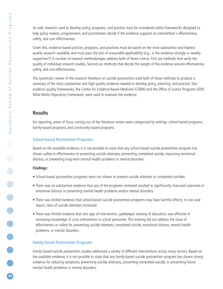As well, research used to develop policy, programs, and practice must be considered within frameworks designed to help policy makers, programmers, and practitioners decide if the evidence supports an intervention's effectiveness, safety, and cost-effectiveness.

Given this, evidence-based policies, programs, and practices must be based on the most substantive and highestquality research available, and must pass the test of reasonable applicability (e.g., is the evidence strongly or weakly supportive?). A number of research methodologies address both of these criteria. First are methods that verify the quality of individual research studies. Second are methods that decide the weight of the evidence around effectiveness, safety, and cost-effectiveness.

The systematic review of the research literature on suicide postvention used both of these methods to produce a summary of the most substantive and high-quality evidence needed to develop policy, planning, and practice. Two evidence quality frameworks, the Centre for Evidence-based Medicine (CEBM) and the Office of Justice Programs (OJP) What Works Repository Framework, were used to evaluate the evidence.

# **Results**

For reporting, areas of focus coming out of the literature review were categorized by settings: school-based programs, family-based programs, and community-based programs.

## **School-based Postvention Programs**

Based on the available evidence, it is not possible to state that any school-based suicide postvention program has shown safety or effectiveness in preventing suicide attempts, preventing completed suicide, improving emotional distress, or preventing long-term mental health problems or mental disorders.

### **Findings:**

- School-based postvention programs were not shown to prevent suicide attempts or completed suicides.
- There was no substantive evidence that any of the programs reviewed resulted in significantly improved outcomes in emotional distress or preventing mental health problems and/or mental disorders.
- There was limited evidence that school-based suicide postvention programs may have harmful effects; in one case report, rates of suicide attempts increased.
- There was limited evidence that one type of intervention, gatekeeper training of educators, was effective in increasing knowledge of crisis intervention in school personnel. This training did not address the issue of effectiveness or safety for preventing suicide attempts, completed suicide, emotional distress, mental health problems, or mental disorders.

# **Family-based Postvention Programs**

Family-based suicide postvention studies addressed a variety of different interventions across many sectors. Based on the available evidence, it is not possible to state that any family-based suicide postvention program has shown strong evidence for reducing symptoms, preventing suicide attempts, preventing completed suicide, or preventing future mental health problems or mental disorders.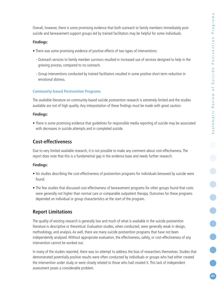Overall, however, there is some promising evidence that both outreach to family members immediately postsuicide and bereavement support groups led by trained facilitators may be helpful for some individuals.

### **Findings:**

- There was some promising evidence of positive effects of two types of interventions:
	- Outreach services to family member survivors resulted in increased use of services designed to help in the grieving process, compared to no outreach.
	- Group interventions conducted by trained facilitators resulted in some positive short-term reduction in emotional distress.

### **Community-based Postvention Programs**

The available literature on community-based suicide postvention research is extremely limited and the studies available are not of high quality. Any interpretation of these findings must be made with great caution.

### **Findings:**

• There is some promising evidence that guidelines for responsible media reporting of suicide may be associated with decreases in suicide attempts and in completed suicide.

# **Cost-effectiveness**

Due to very limited available research, it is not possible to make any comment about cost-effectiveness. The report does note that this is a fundamental gap in the evidence base and needs further research.

### **Findings:**

- No studies describing the cost-effectiveness of postvention programs for individuals bereaved by suicide were found.
- The few studies that discussed cost-effectiveness of bereavement programs for other groups found that costs were generally not higher than normal care or comparable outpatient therapy. Outcomes for these programs depended on individual or group characteristics at the start of the program.

# **Report Limitations**

The quality of existing research is generally low and much of what is available in the suicide postvention literature is descriptive or theoretical. Evaluation studies, when conducted, were generally weak in design, methodology, and analysis. As well, there are many suicide postvention programs that have not been independently analysed.Without appropriate evaluation, the effectiveness, safety, or cost-effectiveness of any intervention cannot be worked out.

In many of the studies reported, there was no attempt to address the bias of researchers themselves. Studies that demonstrated potentially positive results were often conducted by individuals or groups who had either created the intervention under study or were closely related to those who had created it. This lack of independent assessment poses a considerable problem.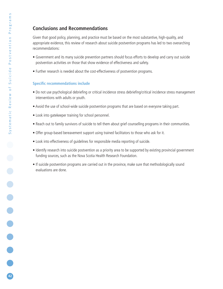# **Conclusions and Recommendations**

Given that good policy, planning, and practice must be based on the most substantive, high-quality, and appropriate evidence, this review of research about suicide postvention programs has led to two overarching recommendations:

- Government and its many suicide prevention partners should focus efforts to develop and carry out suicide postvention activities on those that show evidence of effectiveness and safety.
- Further research is needed about the cost-effectiveness of postvention programs.

### **Specific recommendations include**

- Do not use psychological debriefing or critical incidence stress debriefing/critical incidence stress management interventions with adults or youth.
- Avoid the use of school-wide suicide postvention programs that are based on everyone taking part.
- Look into gatekeeper training for school personnel.
- Reach out to family survivors of suicide to tell them about grief counselling programs in their communities.
- Offer group-based bereavement support using trained facilitators to those who ask for it.
- Look into effectiveness of guidelines for responsible media reporting of suicide.
- Identify research into suicide postvention as a priority area to be supported by existing provincial government funding sources, such as the Nova Scotia Health Research Foundation.
- If suicide postvention programs are carried out in the province, make sure that methodologically sound evaluations are done.